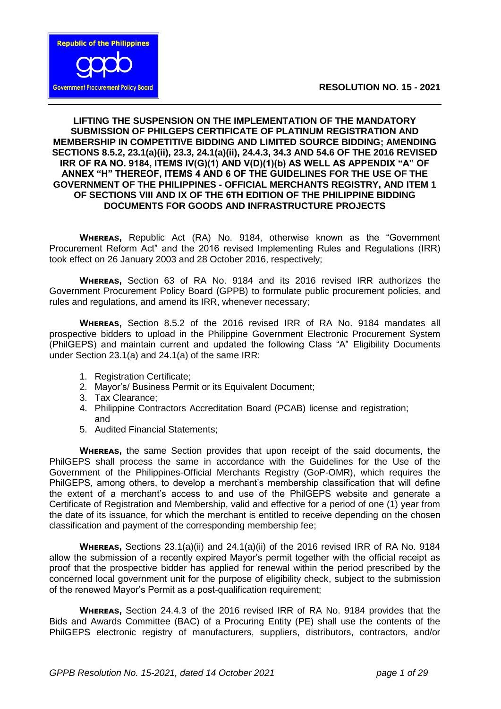

## **LIFTING THE SUSPENSION ON THE IMPLEMENTATION OF THE MANDATORY SUBMISSION OF PHILGEPS CERTIFICATE OF PLATINUM REGISTRATION AND MEMBERSHIP IN COMPETITIVE BIDDING AND LIMITED SOURCE BIDDING; AMENDING SECTIONS 8.5.2, 23.1(a)(ii), 23.3, 24.1(a)(ii), 24.4.3, 34.3 AND 54.6 OF THE 2016 REVISED IRR OF RA NO. 9184, ITEMS IV(G)(1) AND V(D)(1)(b) AS WELL AS APPENDIX "A" OF ANNEX "H" THEREOF, ITEMS 4 AND 6 OF THE GUIDELINES FOR THE USE OF THE GOVERNMENT OF THE PHILIPPINES - OFFICIAL MERCHANTS REGISTRY, AND ITEM 1 OF SECTIONS VIII AND IX OF THE 6TH EDITION OF THE PHILIPPINE BIDDING DOCUMENTS FOR GOODS AND INFRASTRUCTURE PROJECTS**

**WHEREAS, Republic Act (RA) No. 9184, otherwise known as the "Government"** Procurement Reform Act" and the 2016 revised Implementing Rules and Regulations (IRR) took effect on 26 January 2003 and 28 October 2016, respectively;

**WHEREAS.** Section 63 of RA No. 9184 and its 2016 revised IRR authorizes the Government Procurement Policy Board (GPPB) to formulate public procurement policies, and rules and regulations, and amend its IRR, whenever necessary;

**WHEREAS, Section 8.5.2 of the 2016 revised IRR of RA No. 9184 mandates all** prospective bidders to upload in the Philippine Government Electronic Procurement System (PhilGEPS) and maintain current and updated the following Class "A" Eligibility Documents under Section 23.1(a) and 24.1(a) of the same IRR:

- 1. Registration Certificate;
- 2. Mayor's/ Business Permit or its Equivalent Document:
- 3. Tax Clearance;
- 4. Philippine Contractors Accreditation Board (PCAB) license and registration; and
- 5. Audited Financial Statements;

**WHEREAS,** the same Section provides that upon receipt of the said documents, the PhilGEPS shall process the same in accordance with the Guidelines for the Use of the Government of the Philippines-Official Merchants Registry (GoP-OMR), which requires the PhilGEPS, among others, to develop a merchant's membership classification that will define the extent of a merchant's access to and use of the PhilGEPS website and generate a Certificate of Registration and Membership, valid and effective for a period of one (1) year from the date of its issuance, for which the merchant is entitled to receive depending on the chosen classification and payment of the corresponding membership fee;

**WHEREAS, Sections 23.1(a)(ii) and 24.1(a)(ii) of the 2016 revised IRR of RA No. 9184** allow the submission of a recently expired Mayor's permit together with the official receipt as proof that the prospective bidder has applied for renewal within the period prescribed by the concerned local government unit for the purpose of eligibility check, subject to the submission of the renewed Mayor's Permit as a post-qualification requirement;

**WHEREAS, Section 24.4.3 of the 2016 revised IRR of RA No. 9184 provides that the** Bids and Awards Committee (BAC) of a Procuring Entity (PE) shall use the contents of the PhilGEPS electronic registry of manufacturers, suppliers, distributors, contractors, and/or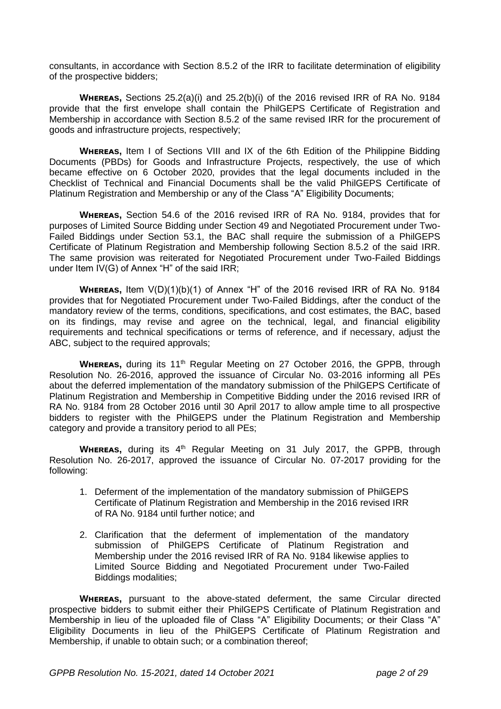consultants, in accordance with Section 8.5.2 of the IRR to facilitate determination of eligibility of the prospective bidders;

**WHEREAS, Sections 25.2(a)(i) and 25.2(b)(i) of the 2016 revised IRR of RA No. 9184** provide that the first envelope shall contain the PhilGEPS Certificate of Registration and Membership in accordance with Section 8.5.2 of the same revised IRR for the procurement of goods and infrastructure projects, respectively;

**WHEREAS, Item I of Sections VIII and IX of the 6th Edition of the Philippine Bidding** Documents (PBDs) for Goods and Infrastructure Projects, respectively, the use of which became effective on 6 October 2020, provides that the legal documents included in the Checklist of Technical and Financial Documents shall be the valid PhilGEPS Certificate of Platinum Registration and Membership or any of the Class "A" Eligibility Documents;

**WHEREAS, Section 54.6 of the 2016 revised IRR of RA No. 9184, provides that for** purposes of Limited Source Bidding under Section 49 and Negotiated Procurement under Two-Failed Biddings under Section 53.1, the BAC shall require the submission of a PhilGEPS Certificate of Platinum Registration and Membership following Section 8.5.2 of the said IRR. The same provision was reiterated for Negotiated Procurement under Two-Failed Biddings under Item IV(G) of Annex "H" of the said IRR;

**WHEREAS, Item V(D)(1)(b)(1) of Annex "H" of the 2016 revised IRR of RA No. 9184** provides that for Negotiated Procurement under Two-Failed Biddings, after the conduct of the mandatory review of the terms, conditions, specifications, and cost estimates, the BAC, based on its findings, may revise and agree on the technical, legal, and financial eligibility requirements and technical specifications or terms of reference, and if necessary, adjust the ABC, subject to the required approvals;

**WHEREAS, during its 11<sup>th</sup> Regular Meeting on 27 October 2016, the GPPB, through** Resolution No. 26-2016, approved the issuance of Circular No. 03-2016 informing all PEs about the deferred implementation of the mandatory submission of the PhilGEPS Certificate of Platinum Registration and Membership in Competitive Bidding under the 2016 revised IRR of RA No. 9184 from 28 October 2016 until 30 April 2017 to allow ample time to all prospective bidders to register with the PhilGEPS under the Platinum Registration and Membership category and provide a transitory period to all PEs;

**WHEREAS,** during its 4<sup>th</sup> Regular Meeting on 31 July 2017, the GPPB, through Resolution No. 26-2017, approved the issuance of Circular No. 07-2017 providing for the following:

- 1. Deferment of the implementation of the mandatory submission of PhilGEPS Certificate of Platinum Registration and Membership in the 2016 revised IRR of RA No. 9184 until further notice; and
- 2. Clarification that the deferment of implementation of the mandatory submission of PhilGEPS Certificate of Platinum Registration and Membership under the 2016 revised IRR of RA No. 9184 likewise applies to Limited Source Bidding and Negotiated Procurement under Two-Failed Biddings modalities;

**WHEREAS,** pursuant to the above-stated deferment, the same Circular directed prospective bidders to submit either their PhilGEPS Certificate of Platinum Registration and Membership in lieu of the uploaded file of Class "A" Eligibility Documents; or their Class "A" Eligibility Documents in lieu of the PhilGEPS Certificate of Platinum Registration and Membership, if unable to obtain such; or a combination thereof;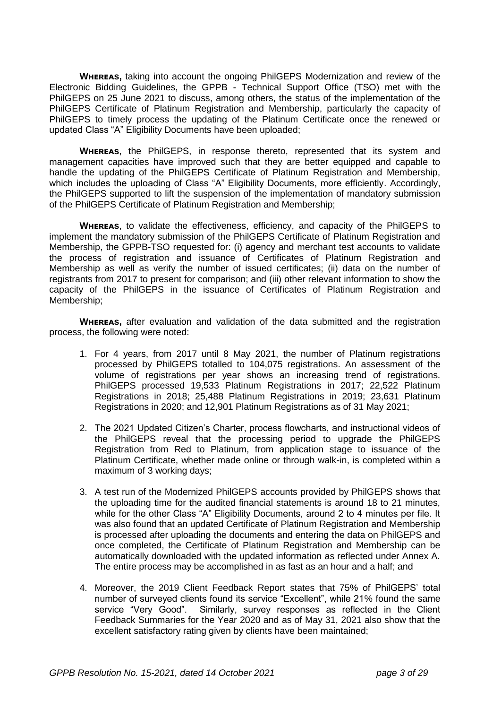**WHEREAS, taking into account the ongoing PhilGEPS Modernization and review of the** Electronic Bidding Guidelines, the GPPB - Technical Support Office (TSO) met with the PhilGEPS on 25 June 2021 to discuss, among others, the status of the implementation of the PhilGEPS Certificate of Platinum Registration and Membership, particularly the capacity of PhilGEPS to timely process the updating of the Platinum Certificate once the renewed or updated Class "A" Eligibility Documents have been uploaded;

**WHEREAS,** the PhilGEPS, in response thereto, represented that its system and management capacities have improved such that they are better equipped and capable to handle the updating of the PhilGEPS Certificate of Platinum Registration and Membership, which includes the uploading of Class "A" Eligibility Documents, more efficiently. Accordingly, the PhilGEPS supported to lift the suspension of the implementation of mandatory submission of the PhilGEPS Certificate of Platinum Registration and Membership;

**WHEREAS**, to validate the effectiveness, efficiency, and capacity of the PhilGEPS to implement the mandatory submission of the PhilGEPS Certificate of Platinum Registration and Membership, the GPPB-TSO requested for: (i) agency and merchant test accounts to validate the process of registration and issuance of Certificates of Platinum Registration and Membership as well as verify the number of issued certificates; (ii) data on the number of registrants from 2017 to present for comparison; and (iii) other relevant information to show the capacity of the PhilGEPS in the issuance of Certificates of Platinum Registration and Membership;

**WHEREAS,** after evaluation and validation of the data submitted and the registration process, the following were noted:

- 1. For 4 years, from 2017 until 8 May 2021, the number of Platinum registrations processed by PhilGEPS totalled to 104,075 registrations. An assessment of the volume of registrations per year shows an increasing trend of registrations. PhilGEPS processed 19,533 Platinum Registrations in 2017; 22,522 Platinum Registrations in 2018; 25,488 Platinum Registrations in 2019; 23,631 Platinum Registrations in 2020; and 12,901 Platinum Registrations as of 31 May 2021;
- 2. The 2021 Updated Citizen's Charter, process flowcharts, and instructional videos of the PhilGEPS reveal that the processing period to upgrade the PhilGEPS Registration from Red to Platinum, from application stage to issuance of the Platinum Certificate, whether made online or through walk-in, is completed within a maximum of 3 working days;
- 3. A test run of the Modernized PhilGEPS accounts provided by PhilGEPS shows that the uploading time for the audited financial statements is around 18 to 21 minutes, while for the other Class "A" Eligibility Documents, around 2 to 4 minutes per file. It was also found that an updated Certificate of Platinum Registration and Membership is processed after uploading the documents and entering the data on PhilGEPS and once completed, the Certificate of Platinum Registration and Membership can be automatically downloaded with the updated information as reflected under Annex A. The entire process may be accomplished in as fast as an hour and a half; and
- 4. Moreover, the 2019 Client Feedback Report states that 75% of PhilGEPS' total number of surveyed clients found its service "Excellent", while 21% found the same service "Very Good". Similarly, survey responses as reflected in the Client Feedback Summaries for the Year 2020 and as of May 31, 2021 also show that the excellent satisfactory rating given by clients have been maintained;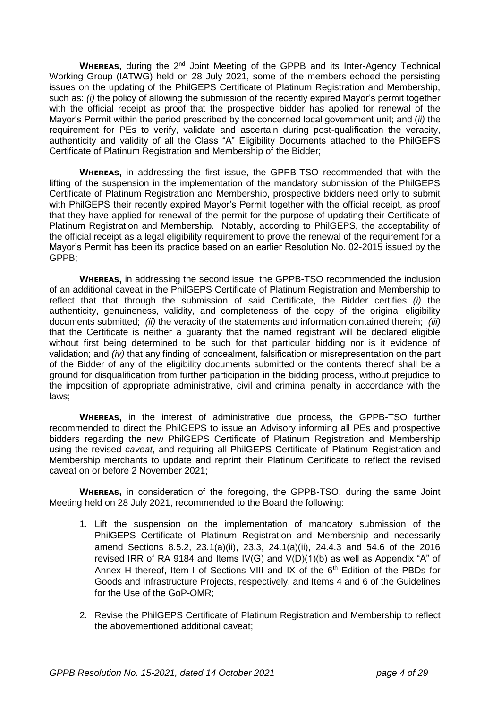WHEREAS, during the 2<sup>nd</sup> Joint Meeting of the GPPB and its Inter-Agency Technical Working Group (IATWG) held on 28 July 2021, some of the members echoed the persisting issues on the updating of the PhilGEPS Certificate of Platinum Registration and Membership, such as: *(i)* the policy of allowing the submission of the recently expired Mayor's permit together with the official receipt as proof that the prospective bidder has applied for renewal of the Mayor's Permit within the period prescribed by the concerned local government unit; and (*ii)* the requirement for PEs to verify, validate and ascertain during post-qualification the veracity, authenticity and validity of all the Class "A" Eligibility Documents attached to the PhilGEPS Certificate of Platinum Registration and Membership of the Bidder;

**WHEREAS,** in addressing the first issue, the GPPB-TSO recommended that with the lifting of the suspension in the implementation of the mandatory submission of the PhilGEPS Certificate of Platinum Registration and Membership, prospective bidders need only to submit with PhilGEPS their recently expired Mayor's Permit together with the official receipt, as proof that they have applied for renewal of the permit for the purpose of updating their Certificate of Platinum Registration and Membership. Notably, according to PhilGEPS, the acceptability of the official receipt as a legal eligibility requirement to prove the renewal of the requirement for a Mayor's Permit has been its practice based on an earlier Resolution No. 02-2015 issued by the GPPB;

**WHEREAS, in addressing the second issue, the GPPB-TSO recommended the inclusion** of an additional caveat in the PhilGEPS Certificate of Platinum Registration and Membership to reflect that that through the submission of said Certificate, the Bidder certifies *(i)* the authenticity, genuineness, validity, and completeness of the copy of the original eligibility documents submitted; *(ii)* the veracity of the statements and information contained therein; *(iii)*  that the Certificate is neither a guaranty that the named registrant will be declared eligible without first being determined to be such for that particular bidding nor is it evidence of validation; and *(iv)* that any finding of concealment, falsification or misrepresentation on the part of the Bidder of any of the eligibility documents submitted or the contents thereof shall be a ground for disqualification from further participation in the bidding process, without prejudice to the imposition of appropriate administrative, civil and criminal penalty in accordance with the laws;

**WHEREAS,** in the interest of administrative due process, the GPPB-TSO further recommended to direct the PhilGEPS to issue an Advisory informing all PEs and prospective bidders regarding the new PhilGEPS Certificate of Platinum Registration and Membership using the revised *caveat*, and requiring all PhilGEPS Certificate of Platinum Registration and Membership merchants to update and reprint their Platinum Certificate to reflect the revised caveat on or before 2 November 2021;

**WHEREAS, in consideration of the foregoing, the GPPB-TSO, during the same Joint** Meeting held on 28 July 2021, recommended to the Board the following:

- 1. Lift the suspension on the implementation of mandatory submission of the PhilGEPS Certificate of Platinum Registration and Membership and necessarily amend Sections 8.5.2, 23.1(a)(ii), 23.3, 24.1(a)(ii), 24.4.3 and 54.6 of the 2016 revised IRR of RA 9184 and Items IV(G) and V(D)(1)(b) as well as Appendix "A" of Annex H thereof, Item I of Sections VIII and IX of the 6<sup>th</sup> Edition of the PBDs for Goods and Infrastructure Projects, respectively, and Items 4 and 6 of the Guidelines for the Use of the GoP-OMR;
- 2. Revise the PhilGEPS Certificate of Platinum Registration and Membership to reflect the abovementioned additional caveat;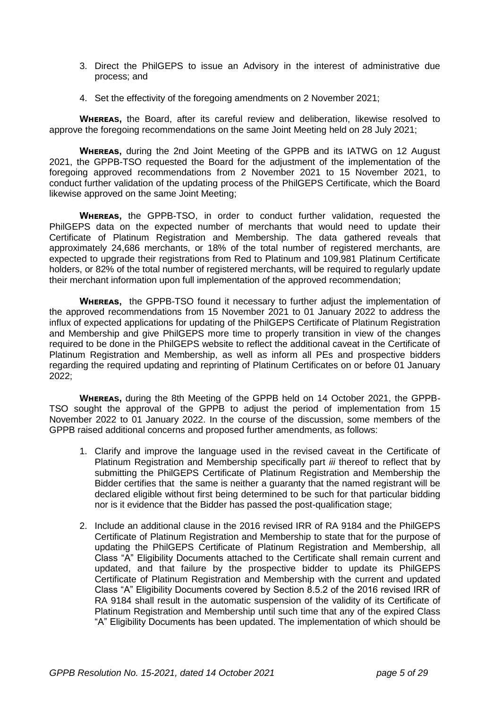- 3. Direct the PhilGEPS to issue an Advisory in the interest of administrative due process; and
- 4. Set the effectivity of the foregoing amendments on 2 November 2021;

**WHEREAS,** the Board, after its careful review and deliberation, likewise resolved to approve the foregoing recommendations on the same Joint Meeting held on 28 July 2021;

**WHEREAS.** during the 2nd Joint Meeting of the GPPB and its IATWG on 12 August 2021, the GPPB-TSO requested the Board for the adjustment of the implementation of the foregoing approved recommendations from 2 November 2021 to 15 November 2021, to conduct further validation of the updating process of the PhilGEPS Certificate, which the Board likewise approved on the same Joint Meeting;

**WHEREAS,** the GPPB-TSO, in order to conduct further validation, requested the PhilGEPS data on the expected number of merchants that would need to update their Certificate of Platinum Registration and Membership. The data gathered reveals that approximately 24,686 merchants, or 18% of the total number of registered merchants, are expected to upgrade their registrations from Red to Platinum and 109,981 Platinum Certificate holders, or 82% of the total number of registered merchants, will be required to regularly update their merchant information upon full implementation of the approved recommendation;

**WHEREAS.** the GPPB-TSO found it necessary to further adjust the implementation of the approved recommendations from 15 November 2021 to 01 January 2022 to address the influx of expected applications for updating of the PhilGEPS Certificate of Platinum Registration and Membership and give PhilGEPS more time to properly transition in view of the changes required to be done in the PhilGEPS website to reflect the additional caveat in the Certificate of Platinum Registration and Membership, as well as inform all PEs and prospective bidders regarding the required updating and reprinting of Platinum Certificates on or before 01 January 2022;

**WHEREAS, during the 8th Meeting of the GPPB held on 14 October 2021, the GPPB-**TSO sought the approval of the GPPB to adjust the period of implementation from 15 November 2022 to 01 January 2022. In the course of the discussion, some members of the GPPB raised additional concerns and proposed further amendments, as follows:

- 1. Clarify and improve the language used in the revised caveat in the Certificate of Platinum Registration and Membership specifically part *iii* thereof to reflect that by submitting the PhilGEPS Certificate of Platinum Registration and Membership the Bidder certifies that the same is neither a guaranty that the named registrant will be declared eligible without first being determined to be such for that particular bidding nor is it evidence that the Bidder has passed the post-qualification stage;
- 2. Include an additional clause in the 2016 revised IRR of RA 9184 and the PhilGEPS Certificate of Platinum Registration and Membership to state that for the purpose of updating the PhilGEPS Certificate of Platinum Registration and Membership, all Class "A" Eligibility Documents attached to the Certificate shall remain current and updated, and that failure by the prospective bidder to update its PhilGEPS Certificate of Platinum Registration and Membership with the current and updated Class "A" Eligibility Documents covered by Section 8.5.2 of the 2016 revised IRR of RA 9184 shall result in the automatic suspension of the validity of its Certificate of Platinum Registration and Membership until such time that any of the expired Class "A" Eligibility Documents has been updated. The implementation of which should be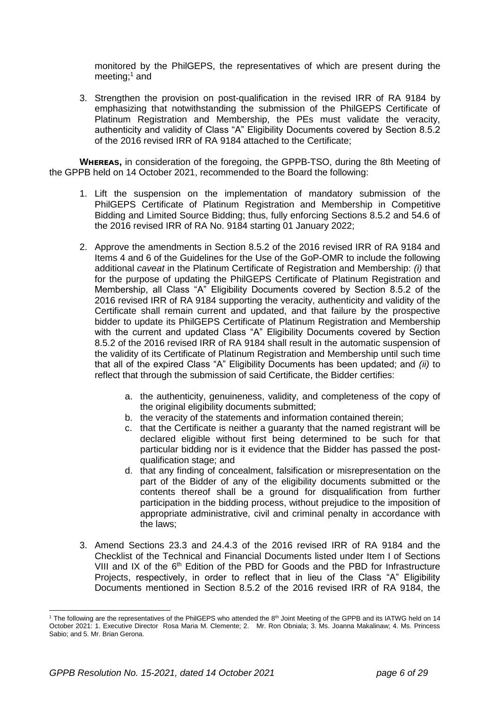monitored by the PhilGEPS, the representatives of which are present during the meeting; <sup>1</sup> and

3. Strengthen the provision on post-qualification in the revised IRR of RA 9184 by emphasizing that notwithstanding the submission of the PhilGEPS Certificate of Platinum Registration and Membership, the PEs must validate the veracity, authenticity and validity of Class "A" Eligibility Documents covered by Section 8.5.2 of the 2016 revised IRR of RA 9184 attached to the Certificate;

**WHEREAS, in consideration of the foregoing, the GPPB-TSO, during the 8th Meeting of** the GPPB held on 14 October 2021, recommended to the Board the following:

- 1. Lift the suspension on the implementation of mandatory submission of the PhilGEPS Certificate of Platinum Registration and Membership in Competitive Bidding and Limited Source Bidding; thus, fully enforcing Sections 8.5.2 and 54.6 of the 2016 revised IRR of RA No. 9184 starting 01 January 2022;
- 2. Approve the amendments in Section 8.5.2 of the 2016 revised IRR of RA 9184 and Items 4 and 6 of the Guidelines for the Use of the GoP-OMR to include the following additional *caveat* in the Platinum Certificate of Registration and Membership: *(i)* that for the purpose of updating the PhilGEPS Certificate of Platinum Registration and Membership, all Class "A" Eligibility Documents covered by Section 8.5.2 of the 2016 revised IRR of RA 9184 supporting the veracity, authenticity and validity of the Certificate shall remain current and updated, and that failure by the prospective bidder to update its PhilGEPS Certificate of Platinum Registration and Membership with the current and updated Class "A" Eligibility Documents covered by Section 8.5.2 of the 2016 revised IRR of RA 9184 shall result in the automatic suspension of the validity of its Certificate of Platinum Registration and Membership until such time that all of the expired Class "A" Eligibility Documents has been updated; and *(ii)* to reflect that through the submission of said Certificate, the Bidder certifies:
	- a. the authenticity, genuineness, validity, and completeness of the copy of the original eligibility documents submitted;
	- b. the veracity of the statements and information contained therein;
	- c. that the Certificate is neither a guaranty that the named registrant will be declared eligible without first being determined to be such for that particular bidding nor is it evidence that the Bidder has passed the postqualification stage; and
	- d. that any finding of concealment, falsification or misrepresentation on the part of the Bidder of any of the eligibility documents submitted or the contents thereof shall be a ground for disqualification from further participation in the bidding process, without prejudice to the imposition of appropriate administrative, civil and criminal penalty in accordance with the laws;
- 3. Amend Sections 23.3 and 24.4.3 of the 2016 revised IRR of RA 9184 and the Checklist of the Technical and Financial Documents listed under Item I of Sections VIII and IX of the 6<sup>th</sup> Edition of the PBD for Goods and the PBD for Infrastructure Projects, respectively, in order to reflect that in lieu of the Class "A" Eligibility Documents mentioned in Section 8.5.2 of the 2016 revised IRR of RA 9184, the

 <sup>1</sup> The following are the representatives of the PhilGEPS who attended the 8<sup>th</sup> Joint Meeting of the GPPB and its IATWG held on 14 October 2021: 1. Executive Director Rosa Maria M. Clemente; 2. Mr. Ron Obniala; 3. Ms. Joanna Makalinaw; 4. Ms. Princess Sabio; and 5. Mr. Brian Gerona.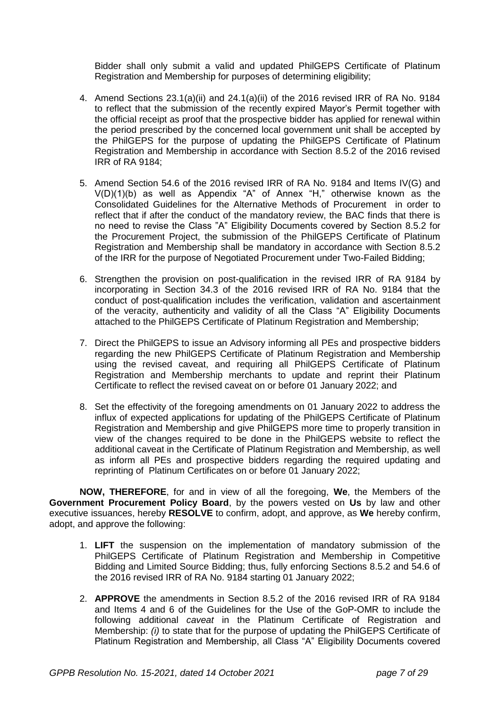Bidder shall only submit a valid and updated PhilGEPS Certificate of Platinum Registration and Membership for purposes of determining eligibility;

- 4. Amend Sections 23.1(a)(ii) and 24.1(a)(ii) of the 2016 revised IRR of RA No. 9184 to reflect that the submission of the recently expired Mayor's Permit together with the official receipt as proof that the prospective bidder has applied for renewal within the period prescribed by the concerned local government unit shall be accepted by the PhilGEPS for the purpose of updating the PhilGEPS Certificate of Platinum Registration and Membership in accordance with Section 8.5.2 of the 2016 revised IRR of RA 9184;
- 5. Amend Section 54.6 of the 2016 revised IRR of RA No. 9184 and Items IV(G) and V(D)(1)(b) as well as Appendix "A" of Annex "H," otherwise known as the Consolidated Guidelines for the Alternative Methods of Procurement in order to reflect that if after the conduct of the mandatory review, the BAC finds that there is no need to revise the Class "A" Eligibility Documents covered by Section 8.5.2 for the Procurement Project, the submission of the PhilGEPS Certificate of Platinum Registration and Membership shall be mandatory in accordance with Section 8.5.2 of the IRR for the purpose of Negotiated Procurement under Two-Failed Bidding;
- 6. Strengthen the provision on post-qualification in the revised IRR of RA 9184 by incorporating in Section 34.3 of the 2016 revised IRR of RA No. 9184 that the conduct of post-qualification includes the verification, validation and ascertainment of the veracity, authenticity and validity of all the Class "A" Eligibility Documents attached to the PhilGEPS Certificate of Platinum Registration and Membership;
- 7. Direct the PhilGEPS to issue an Advisory informing all PEs and prospective bidders regarding the new PhilGEPS Certificate of Platinum Registration and Membership using the revised caveat, and requiring all PhilGEPS Certificate of Platinum Registration and Membership merchants to update and reprint their Platinum Certificate to reflect the revised caveat on or before 01 January 2022; and
- 8. Set the effectivity of the foregoing amendments on 01 January 2022 to address the influx of expected applications for updating of the PhilGEPS Certificate of Platinum Registration and Membership and give PhilGEPS more time to properly transition in view of the changes required to be done in the PhilGEPS website to reflect the additional caveat in the Certificate of Platinum Registration and Membership, as well as inform all PEs and prospective bidders regarding the required updating and reprinting of Platinum Certificates on or before 01 January 2022;

**NOW, THEREFORE**, for and in view of all the foregoing, **We**, the Members of the **Government Procurement Policy Board**, by the powers vested on **Us** by law and other executive issuances, hereby **RESOLVE** to confirm, adopt, and approve, as **We** hereby confirm, adopt, and approve the following:

- 1. **LIFT** the suspension on the implementation of mandatory submission of the PhilGEPS Certificate of Platinum Registration and Membership in Competitive Bidding and Limited Source Bidding; thus, fully enforcing Sections 8.5.2 and 54.6 of the 2016 revised IRR of RA No. 9184 starting 01 January 2022;
- 2. **APPROVE** the amendments in Section 8.5.2 of the 2016 revised IRR of RA 9184 and Items 4 and 6 of the Guidelines for the Use of the GoP-OMR to include the following additional *caveat* in the Platinum Certificate of Registration and Membership: *(i)* to state that for the purpose of updating the PhilGEPS Certificate of Platinum Registration and Membership, all Class "A" Eligibility Documents covered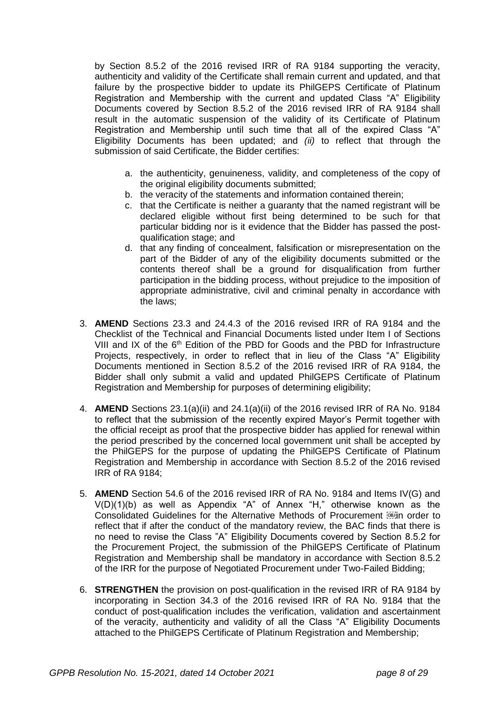by Section 8.5.2 of the 2016 revised IRR of RA 9184 supporting the veracity, authenticity and validity of the Certificate shall remain current and updated, and that failure by the prospective bidder to update its PhilGEPS Certificate of Platinum Registration and Membership with the current and updated Class "A" Eligibility Documents covered by Section 8.5.2 of the 2016 revised IRR of RA 9184 shall result in the automatic suspension of the validity of its Certificate of Platinum Registration and Membership until such time that all of the expired Class "A" Eligibility Documents has been updated; and *(ii)* to reflect that through the submission of said Certificate, the Bidder certifies:

- a. the authenticity, genuineness, validity, and completeness of the copy of the original eligibility documents submitted;
- b. the veracity of the statements and information contained therein;
- c. that the Certificate is neither a guaranty that the named registrant will be declared eligible without first being determined to be such for that particular bidding nor is it evidence that the Bidder has passed the postqualification stage; and
- d. that any finding of concealment, falsification or misrepresentation on the part of the Bidder of any of the eligibility documents submitted or the contents thereof shall be a ground for disqualification from further participation in the bidding process, without prejudice to the imposition of appropriate administrative, civil and criminal penalty in accordance with the laws;
- 3. **AMEND** Sections 23.3 and 24.4.3 of the 2016 revised IRR of RA 9184 and the Checklist of the Technical and Financial Documents listed under Item I of Sections VIII and IX of the  $6<sup>th</sup>$  Edition of the PBD for Goods and the PBD for Infrastructure Projects, respectively, in order to reflect that in lieu of the Class "A" Eligibility Documents mentioned in Section 8.5.2 of the 2016 revised IRR of RA 9184, the Bidder shall only submit a valid and updated PhilGEPS Certificate of Platinum Registration and Membership for purposes of determining eligibility;
- 4. **AMEND** Sections 23.1(a)(ii) and 24.1(a)(ii) of the 2016 revised IRR of RA No. 9184 to reflect that the submission of the recently expired Mayor's Permit together with the official receipt as proof that the prospective bidder has applied for renewal within the period prescribed by the concerned local government unit shall be accepted by the PhilGEPS for the purpose of updating the PhilGEPS Certificate of Platinum Registration and Membership in accordance with Section 8.5.2 of the 2016 revised IRR of RA 9184;
- 5. **AMEND** Section 54.6 of the 2016 revised IRR of RA No. 9184 and Items IV(G) and V(D)(1)(b) as well as Appendix "A" of Annex "H," otherwise known as the Consolidated Guidelines for the Alternative Methods of Procurement **in order** to reflect that if after the conduct of the mandatory review, the BAC finds that there is no need to revise the Class "A" Eligibility Documents covered by Section 8.5.2 for the Procurement Project, the submission of the PhilGEPS Certificate of Platinum Registration and Membership shall be mandatory in accordance with Section 8.5.2 of the IRR for the purpose of Negotiated Procurement under Two-Failed Bidding;
- 6. **STRENGTHEN** the provision on post-qualification in the revised IRR of RA 9184 by incorporating in Section 34.3 of the 2016 revised IRR of RA No. 9184 that the conduct of post-qualification includes the verification, validation and ascertainment of the veracity, authenticity and validity of all the Class "A" Eligibility Documents attached to the PhilGEPS Certificate of Platinum Registration and Membership;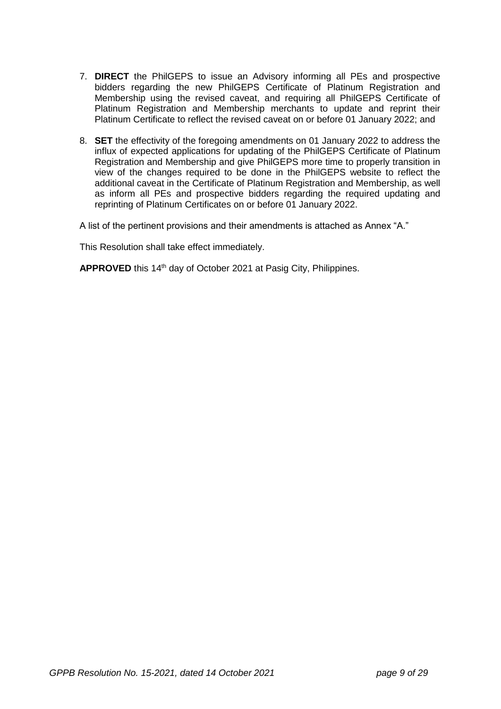- 7. **DIRECT** the PhilGEPS to issue an Advisory informing all PEs and prospective bidders regarding the new PhilGEPS Certificate of Platinum Registration and Membership using the revised caveat, and requiring all PhilGEPS Certificate of Platinum Registration and Membership merchants to update and reprint their Platinum Certificate to reflect the revised caveat on or before 01 January 2022; and
- 8. **SET** the effectivity of the foregoing amendments on 01 January 2022 to address the influx of expected applications for updating of the PhilGEPS Certificate of Platinum Registration and Membership and give PhilGEPS more time to properly transition in view of the changes required to be done in the PhilGEPS website to reflect the additional caveat in the Certificate of Platinum Registration and Membership, as well as inform all PEs and prospective bidders regarding the required updating and reprinting of Platinum Certificates on or before 01 January 2022.

A list of the pertinent provisions and their amendments is attached as Annex "A."

This Resolution shall take effect immediately.

APPROVED this 14<sup>th</sup> day of October 2021 at Pasig City, Philippines.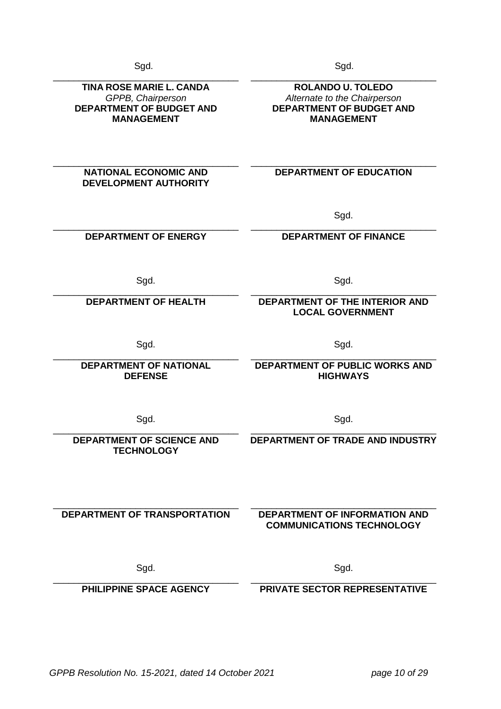er i Sgd. 1996 i Sgd. 1997 i Sgd. 1998 i Sgd. 1998 i Sgd. 1998 i Sgd. 1999 i Sgd. 1999 i Sgd. 1999 i Sgd. 1999

\_\_\_\_\_\_\_\_\_\_\_\_\_\_\_\_\_\_\_\_\_\_\_\_\_\_\_\_\_\_\_\_\_\_\_\_ **TINA ROSE MARIE L. CANDA** *GPPB, Chairperson* **DEPARTMENT OF BUDGET AND MANAGEMENT**

> **NATIONAL ECONOMIC AND DEVELOPMENT AUTHORITY**

\_\_\_\_\_\_\_\_\_\_\_\_\_\_\_\_\_\_\_\_\_\_\_\_\_\_\_\_\_\_\_\_\_\_\_\_

\_\_\_\_\_\_\_\_\_\_\_\_\_\_\_\_\_\_\_\_\_\_\_\_\_\_\_\_\_\_\_\_\_\_\_\_ **DEPARTMENT OF ENERGY**

\_\_\_\_\_\_\_\_\_\_\_\_\_\_\_\_\_\_\_\_\_\_\_\_\_\_\_\_\_\_\_\_\_\_\_\_ **DEPARTMENT OF HEALTH**

\_\_\_\_\_\_\_\_\_\_\_\_\_\_\_\_\_\_\_\_\_\_\_\_\_\_\_\_\_\_\_\_\_\_\_\_ **DEPARTMENT OF NATIONAL DEFENSE** 

Sgd. Sgd.

\_\_\_\_\_\_\_\_\_\_\_\_\_\_\_\_\_\_\_\_\_\_\_\_\_\_\_\_\_\_\_\_\_\_\_\_ **DEPARTMENT OF PUBLIC WORKS AND HIGHWAYS**

\_\_\_\_\_\_\_\_\_\_\_\_\_\_\_\_\_\_\_\_\_\_\_\_\_\_\_\_\_\_\_\_\_\_\_\_ **DEPARTMENT OF SCIENCE AND TECHNOLOGY** 

\_\_\_\_\_\_\_\_\_\_\_\_\_\_\_\_\_\_\_\_\_\_\_\_\_\_\_\_\_\_\_\_\_\_\_\_ \_\_\_\_\_\_\_\_\_\_\_\_\_\_\_\_\_\_\_\_\_\_\_\_\_\_\_\_\_\_\_\_\_\_\_\_

**DEPARTMENT OF TRANSPORTATION**

\_\_\_\_\_\_\_\_\_\_\_\_\_\_\_\_\_\_\_\_\_\_\_\_\_\_\_\_\_\_\_\_\_\_\_\_ **PHILIPPINE SPACE AGENCY**

## **DEPARTMENT OF INFORMATION AND COMMUNICATIONS TECHNOLOGY**

Sgd. Sgd.

\_\_\_\_\_\_\_\_\_\_\_\_\_\_\_\_\_\_\_\_\_\_\_\_\_\_\_\_\_\_\_\_\_\_\_\_ **PRIVATE SECTOR REPRESENTATIVE**

Sgd. Sgd. \_\_\_\_\_\_\_\_\_\_\_\_\_\_\_\_\_\_\_\_\_\_\_\_\_\_\_\_\_\_\_\_\_\_\_\_

## **DEPARTMENT OF THE INTERIOR AND LOCAL GOVERNMENT**

\_\_\_\_\_\_\_\_\_\_\_\_\_\_\_\_\_\_\_\_\_\_\_\_\_\_\_\_\_\_\_\_\_\_\_\_ **ROLANDO U. TOLEDO** *Alternate to the Chairperson* **DEPARTMENT OF BUDGET AND MANAGEMENT**

**DEPARTMENT OF EDUCATION** 

\_\_\_\_\_\_\_\_\_\_\_\_\_\_\_\_\_\_\_\_\_\_\_\_\_\_\_\_\_\_\_\_\_\_\_\_

Sgd. \_\_\_\_\_\_\_\_\_\_\_\_\_\_\_\_\_\_\_\_\_\_\_\_\_\_\_\_\_\_\_\_\_\_\_\_

**DEPARTMENT OF FINANCE**

\_\_\_\_\_\_\_\_\_\_\_\_\_\_\_\_\_\_\_\_\_\_\_\_\_\_\_\_\_\_\_\_\_\_\_\_

**DEPARTMENT OF TRADE AND INDUSTRY**

Sgd. Sgd.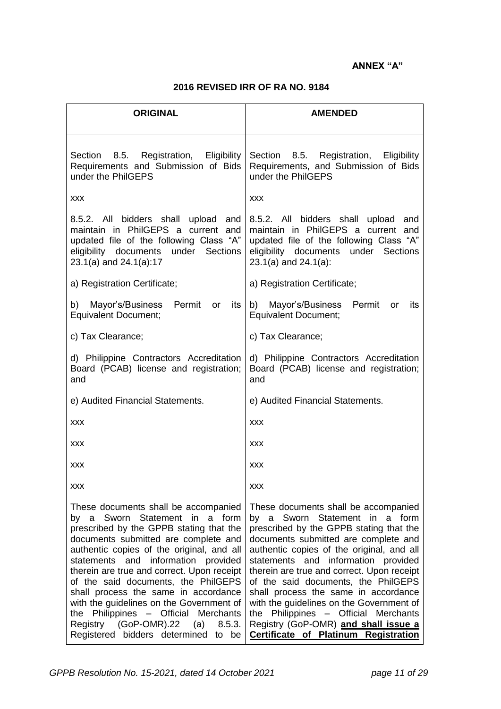## **ANNEX "A"**

## **2016 REVISED IRR OF RA NO. 9184**

| <b>ORIGINAL</b>                                                                                                                                                                                                                                                                                                                                                                                                                                                                                                                                    | <b>AMENDED</b>                                                                                                                                                                                                                                                                                                                                                                                                                                                                                                                                    |  |  |  |  |  |
|----------------------------------------------------------------------------------------------------------------------------------------------------------------------------------------------------------------------------------------------------------------------------------------------------------------------------------------------------------------------------------------------------------------------------------------------------------------------------------------------------------------------------------------------------|---------------------------------------------------------------------------------------------------------------------------------------------------------------------------------------------------------------------------------------------------------------------------------------------------------------------------------------------------------------------------------------------------------------------------------------------------------------------------------------------------------------------------------------------------|--|--|--|--|--|
| Section 8.5. Registration, Eligibility<br>Requirements and Submission of Bids<br>under the PhilGEPS                                                                                                                                                                                                                                                                                                                                                                                                                                                | Section 8.5. Registration, Eligibility<br>Requirements, and Submission of Bids<br>under the PhilGEPS                                                                                                                                                                                                                                                                                                                                                                                                                                              |  |  |  |  |  |
| <b>XXX</b>                                                                                                                                                                                                                                                                                                                                                                                                                                                                                                                                         | <b>XXX</b>                                                                                                                                                                                                                                                                                                                                                                                                                                                                                                                                        |  |  |  |  |  |
| 8.5.2. All bidders shall upload and<br>maintain in PhilGEPS a current and<br>updated file of the following Class "A"<br>eligibility documents under Sections<br>23.1(a) and 24.1(a):17                                                                                                                                                                                                                                                                                                                                                             | 8.5.2. All bidders shall upload and<br>maintain in PhilGEPS a current and<br>updated file of the following Class "A"<br>eligibility documents<br>under<br>Sections<br>23.1(a) and 24.1(a):                                                                                                                                                                                                                                                                                                                                                        |  |  |  |  |  |
| a) Registration Certificate;                                                                                                                                                                                                                                                                                                                                                                                                                                                                                                                       | a) Registration Certificate;                                                                                                                                                                                                                                                                                                                                                                                                                                                                                                                      |  |  |  |  |  |
| b) Mayor's/Business Permit<br>or<br>its<br><b>Equivalent Document;</b>                                                                                                                                                                                                                                                                                                                                                                                                                                                                             | b) Mayor's/Business Permit<br>its<br><b>or</b><br><b>Equivalent Document;</b>                                                                                                                                                                                                                                                                                                                                                                                                                                                                     |  |  |  |  |  |
| c) Tax Clearance;                                                                                                                                                                                                                                                                                                                                                                                                                                                                                                                                  | c) Tax Clearance;                                                                                                                                                                                                                                                                                                                                                                                                                                                                                                                                 |  |  |  |  |  |
| d) Philippine Contractors Accreditation<br>Board (PCAB) license and registration;<br>and                                                                                                                                                                                                                                                                                                                                                                                                                                                           | d) Philippine Contractors Accreditation<br>Board (PCAB) license and registration;<br>and                                                                                                                                                                                                                                                                                                                                                                                                                                                          |  |  |  |  |  |
| e) Audited Financial Statements.                                                                                                                                                                                                                                                                                                                                                                                                                                                                                                                   | e) Audited Financial Statements.                                                                                                                                                                                                                                                                                                                                                                                                                                                                                                                  |  |  |  |  |  |
| <b>XXX</b>                                                                                                                                                                                                                                                                                                                                                                                                                                                                                                                                         | <b>XXX</b>                                                                                                                                                                                                                                                                                                                                                                                                                                                                                                                                        |  |  |  |  |  |
| <b>XXX</b>                                                                                                                                                                                                                                                                                                                                                                                                                                                                                                                                         | <b>XXX</b>                                                                                                                                                                                                                                                                                                                                                                                                                                                                                                                                        |  |  |  |  |  |
| <b>XXX</b>                                                                                                                                                                                                                                                                                                                                                                                                                                                                                                                                         | <b>XXX</b>                                                                                                                                                                                                                                                                                                                                                                                                                                                                                                                                        |  |  |  |  |  |
| <b>XXX</b>                                                                                                                                                                                                                                                                                                                                                                                                                                                                                                                                         | <b>XXX</b>                                                                                                                                                                                                                                                                                                                                                                                                                                                                                                                                        |  |  |  |  |  |
| These documents shall be accompanied<br>by a Sworn Statement in a form<br>prescribed by the GPPB stating that the<br>documents submitted are complete and<br>authentic copies of the original, and all<br>and information provided<br>statements<br>therein are true and correct. Upon receipt<br>of the said documents, the PhilGEPS<br>shall process the same in accordance<br>with the guidelines on the Government of<br>the Philippines - Official Merchants<br>Registry (GoP-OMR).22<br>(a)<br>8.5.3.<br>Registered bidders determined to be | These documents shall be accompanied<br>by a Sworn Statement in a form<br>prescribed by the GPPB stating that the<br>documents submitted are complete and<br>authentic copies of the original, and all<br>and information provided<br>statements<br>therein are true and correct. Upon receipt<br>of the said documents, the PhilGEPS<br>shall process the same in accordance<br>with the guidelines on the Government of<br>the Philippines - Official Merchants<br>Registry (GoP-OMR) and shall issue a<br>Certificate of Platinum Registration |  |  |  |  |  |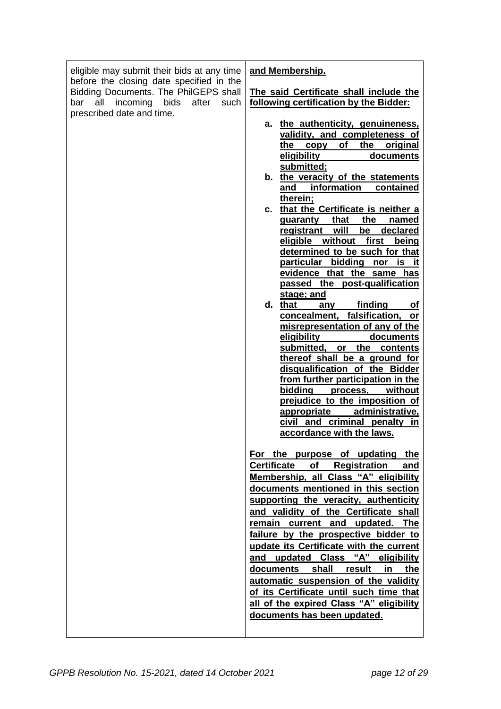| eligible may submit their bids at any time<br>before the closing date specified in the<br>Bidding Documents. The PhilGEPS shall | and Membership.<br>The said Certificate shall include the                                                                                                                                                                                                                                                                                                                                                                                                                                                                                                                                                                                                                                                                                                                                                                                                                                                                                                                                                                                                             |
|---------------------------------------------------------------------------------------------------------------------------------|-----------------------------------------------------------------------------------------------------------------------------------------------------------------------------------------------------------------------------------------------------------------------------------------------------------------------------------------------------------------------------------------------------------------------------------------------------------------------------------------------------------------------------------------------------------------------------------------------------------------------------------------------------------------------------------------------------------------------------------------------------------------------------------------------------------------------------------------------------------------------------------------------------------------------------------------------------------------------------------------------------------------------------------------------------------------------|
| incoming<br>bids<br>after<br>all<br>bar<br>such<br>prescribed date and time.                                                    | following certification by the Bidder:<br>a. the authenticity, genuineness,<br>validity, and completeness of<br>of<br>the original<br>the<br>copy<br>eligibility<br>documents<br>submitted;<br>b. the veracity of the statements<br>and information contained<br>therein;<br>c. that the Certificate is neither a<br>guaranty that<br>the<br>named<br>will<br>declared<br>be<br><u>registrant</u><br>eligible without first<br>being<br>determined to be such for that<br>particular bidding<br>nor is<br>-It<br>evidence that the same has<br>passed the post-qualification<br><u>stage; and</u><br>d. that<br>finding<br>any<br><b>of</b><br>concealment, falsification,<br>or<br>misrepresentation of any of the<br><u>eligibility ____</u><br>documents<br>submitted, or the contents<br>thereof shall be a ground for<br>disqualification of the Bidder<br>from further participation in the<br>bidding process,<br>without<br>prejudice to the imposition of<br>administrative,<br>appropriate<br>civil and criminal penalty<br>in<br>accordance with the laws. |
|                                                                                                                                 | For the purpose of updating the<br>Certificate of Registration<br>and<br>Membership, all Class "A" eligibility<br>documents mentioned in this section<br>supporting the veracity, authenticity<br>and validity of the Certificate shall<br>remain current and updated. The<br>failure by the prospective bidder to<br>update its Certificate with the current<br>and updated Class "A" eligibility<br>documents shall result in<br>the<br>automatic suspension of the validity<br>of its Certificate until such time that<br>all of the expired Class "A" eligibility<br>documents has been updated.                                                                                                                                                                                                                                                                                                                                                                                                                                                                  |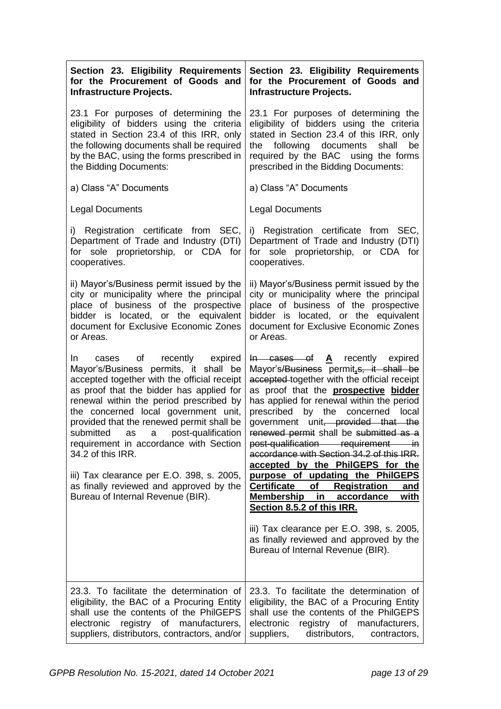| Section 23. Eligibility Requirements<br>for the Procurement of Goods and<br><b>Infrastructure Projects.</b>                                                                                                                                                                                                                                                                                                                                                                                                                                                 | Section 23. Eligibility Requirements<br>for the Procurement of Goods and<br><b>Infrastructure Projects.</b>                                                                                                                                                                                                                                                                                                                                                                                                                                                                                                                                                                                                                                                                                                        |
|-------------------------------------------------------------------------------------------------------------------------------------------------------------------------------------------------------------------------------------------------------------------------------------------------------------------------------------------------------------------------------------------------------------------------------------------------------------------------------------------------------------------------------------------------------------|--------------------------------------------------------------------------------------------------------------------------------------------------------------------------------------------------------------------------------------------------------------------------------------------------------------------------------------------------------------------------------------------------------------------------------------------------------------------------------------------------------------------------------------------------------------------------------------------------------------------------------------------------------------------------------------------------------------------------------------------------------------------------------------------------------------------|
| 23.1 For purposes of determining the<br>eligibility of bidders using the criteria<br>stated in Section 23.4 of this IRR, only<br>the following documents shall be required<br>by the BAC, using the forms prescribed in<br>the Bidding Documents:                                                                                                                                                                                                                                                                                                           | 23.1 For purposes of determining the<br>eligibility of bidders using the criteria<br>stated in Section 23.4 of this IRR, only<br>the following documents<br>shall<br>be<br>required by the BAC using the forms<br>prescribed in the Bidding Documents:                                                                                                                                                                                                                                                                                                                                                                                                                                                                                                                                                             |
| a) Class "A" Documents                                                                                                                                                                                                                                                                                                                                                                                                                                                                                                                                      | a) Class "A" Documents                                                                                                                                                                                                                                                                                                                                                                                                                                                                                                                                                                                                                                                                                                                                                                                             |
| <b>Legal Documents</b>                                                                                                                                                                                                                                                                                                                                                                                                                                                                                                                                      | <b>Legal Documents</b>                                                                                                                                                                                                                                                                                                                                                                                                                                                                                                                                                                                                                                                                                                                                                                                             |
| i) Registration certificate from SEC,<br>Department of Trade and Industry (DTI)<br>for sole proprietorship, or CDA for<br>cooperatives.                                                                                                                                                                                                                                                                                                                                                                                                                     | i) Registration certificate from SEC,<br>Department of Trade and Industry (DTI)<br>for sole proprietorship, or CDA for<br>cooperatives.                                                                                                                                                                                                                                                                                                                                                                                                                                                                                                                                                                                                                                                                            |
| ii) Mayor's/Business permit issued by the<br>city or municipality where the principal<br>place of business of the prospective<br>bidder is located, or the equivalent<br>document for Exclusive Economic Zones<br>or Areas.                                                                                                                                                                                                                                                                                                                                 | ii) Mayor's/Business permit issued by the<br>city or municipality where the principal<br>place of business of the prospective<br>bidder is located, or the equivalent<br>document for Exclusive Economic Zones<br>or Areas.                                                                                                                                                                                                                                                                                                                                                                                                                                                                                                                                                                                        |
| $\circ$ of<br>recently expired<br>In In<br>cases<br>Mayor's/Business permits, it shall be<br>accepted together with the official receipt<br>as proof that the bidder has applied for<br>renewal within the period prescribed by<br>the concerned local government unit,<br>provided that the renewed permit shall be<br>submitted<br>post-qualification<br>as a<br>requirement in accordance with Section<br>34.2 of this IRR.<br>iii) Tax clearance per E.O. 398, s. 2005,<br>as finally reviewed and approved by the<br>Bureau of Internal Revenue (BIR). | $\overline{h}$ cases of $\underline{A}$ recently expired<br>Mayor's/Business permit <sub>is</sub> , it shall be<br>accepted together with the official receipt<br>as proof that the <b>prospective</b> bidder<br>has applied for renewal within the period<br>by the concerned<br>prescribed<br>local<br>government unit, provided that the<br>renewed permit shall be submitted as a<br>post-qualification requirement in<br>accordance with Section 34.2 of this IRR.<br>accepted by the PhilGEPS for the<br>purpose of updating the PhilGEPS<br><b>Certificate</b><br><b>Registration</b><br>of<br>and<br>Membership in<br>accordance<br><u>with</u><br>Section 8.5.2 of this IRR.<br>iii) Tax clearance per E.O. 398, s. 2005,<br>as finally reviewed and approved by the<br>Bureau of Internal Revenue (BIR). |
| 23.3. To facilitate the determination of<br>eligibility, the BAC of a Procuring Entity<br>shall use the contents of the PhilGEPS<br>electronic<br>registry of<br>manufacturers,<br>suppliers, distributors, contractors, and/or                                                                                                                                                                                                                                                                                                                             | 23.3. To facilitate the determination of<br>eligibility, the BAC of a Procuring Entity<br>shall use the contents of the PhilGEPS<br>electronic<br>registry of manufacturers,<br>suppliers,<br>distributors,<br>contractors,                                                                                                                                                                                                                                                                                                                                                                                                                                                                                                                                                                                        |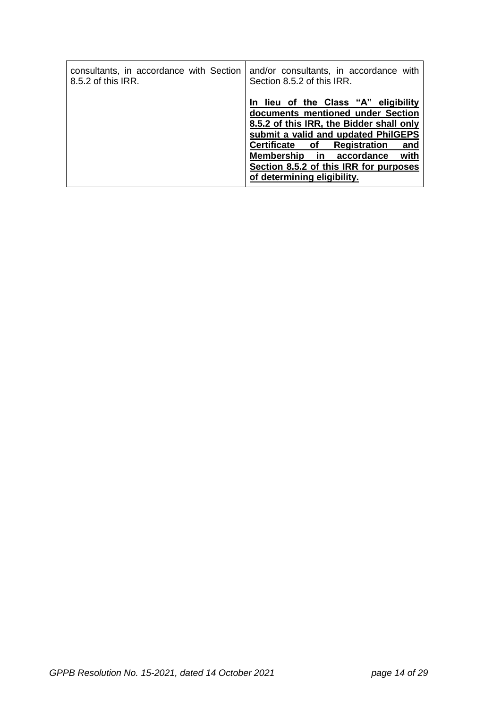| consultants, in accordance with Section | and/or consultants, in accordance with                                                                                                                                                                                                                                                                                 |
|-----------------------------------------|------------------------------------------------------------------------------------------------------------------------------------------------------------------------------------------------------------------------------------------------------------------------------------------------------------------------|
| 8.5.2 of this IRR.                      | Section 8.5.2 of this IRR.                                                                                                                                                                                                                                                                                             |
|                                         | lieu of the Class "A" eligibility<br>documents mentioned under Section<br>8.5.2 of this IRR, the Bidder shall only<br>submit a valid and updated PhilGEPS<br>Certificate of<br><b>Registration</b><br>and<br>Membership in accordance<br>with<br>Section 8.5.2 of this IRR for purposes<br>of determining eligibility. |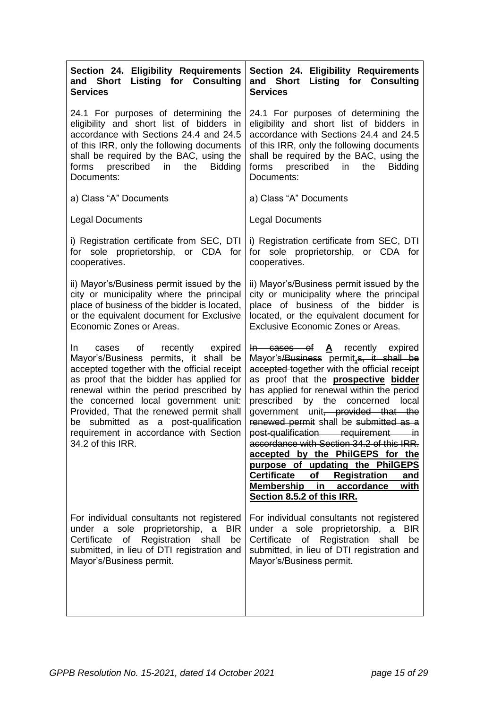| Section 24. Eligibility Requirements<br><b>Listing for Consulting</b><br>and Short<br><b>Services</b>                                                                                                                                                                                                                                                                                                                | Section 24. Eligibility Requirements<br>and Short Listing for Consulting<br><b>Services</b>                                                                                                                                                                                                                                                                                                                                                                                                                                                                                                                                                          |  |  |  |  |  |
|----------------------------------------------------------------------------------------------------------------------------------------------------------------------------------------------------------------------------------------------------------------------------------------------------------------------------------------------------------------------------------------------------------------------|------------------------------------------------------------------------------------------------------------------------------------------------------------------------------------------------------------------------------------------------------------------------------------------------------------------------------------------------------------------------------------------------------------------------------------------------------------------------------------------------------------------------------------------------------------------------------------------------------------------------------------------------------|--|--|--|--|--|
| 24.1 For purposes of determining the<br>eligibility and short list of bidders in<br>accordance with Sections 24.4 and 24.5<br>of this IRR, only the following documents<br>shall be required by the BAC, using the<br>forms prescribed in<br>the<br><b>Bidding</b><br>Documents:                                                                                                                                     | 24.1 For purposes of determining the<br>eligibility and short list of bidders in<br>accordance with Sections 24.4 and 24.5<br>of this IRR, only the following documents<br>shall be required by the BAC, using the<br>forms prescribed in the<br><b>Bidding</b><br>Documents:                                                                                                                                                                                                                                                                                                                                                                        |  |  |  |  |  |
| a) Class "A" Documents                                                                                                                                                                                                                                                                                                                                                                                               | a) Class "A" Documents                                                                                                                                                                                                                                                                                                                                                                                                                                                                                                                                                                                                                               |  |  |  |  |  |
| <b>Legal Documents</b>                                                                                                                                                                                                                                                                                                                                                                                               | <b>Legal Documents</b>                                                                                                                                                                                                                                                                                                                                                                                                                                                                                                                                                                                                                               |  |  |  |  |  |
| i) Registration certificate from SEC, DTI<br>for sole proprietorship, or CDA for<br>cooperatives.                                                                                                                                                                                                                                                                                                                    | i) Registration certificate from SEC, DTI<br>for sole proprietorship, or CDA for<br>cooperatives.                                                                                                                                                                                                                                                                                                                                                                                                                                                                                                                                                    |  |  |  |  |  |
| ii) Mayor's/Business permit issued by the<br>city or municipality where the principal<br>place of business of the bidder is located,<br>or the equivalent document for Exclusive<br>Economic Zones or Areas.                                                                                                                                                                                                         | ii) Mayor's/Business permit issued by the<br>city or municipality where the principal<br>place of business of the bidder is<br>located, or the equivalent document for<br><b>Exclusive Economic Zones or Areas.</b>                                                                                                                                                                                                                                                                                                                                                                                                                                  |  |  |  |  |  |
| of<br>In In<br>recently expired<br>cases<br>Mayor's/Business permits, it shall be<br>accepted together with the official receipt<br>as proof that the bidder has applied for<br>renewal within the period prescribed by<br>the concerned local government unit:<br>Provided, That the renewed permit shall<br>submitted as a post-qualification<br>be<br>requirement in accordance with Section<br>34.2 of this IRR. | $\text{In}$ cases of $\text{A}$ recently expired<br>Mayor's/Business permit, s, it shall be<br>accepted-together with the official receipt<br>as proof that the <b>prospective bidder</b><br>has applied for renewal within the period<br>prescribed by the concerned local<br>government unit, provided that the<br>renewed permit shall be submitted as a<br>post-qualification requirement in<br>accordance with Section 34.2 of this IRR.<br>accepted by the PhilGEPS for the<br>purpose of updating the PhilGEPS<br><b>Certificate</b><br>of<br><b>Registration</b><br>and<br>Membership in<br>accordance<br>with<br>Section 8.5.2 of this IRR. |  |  |  |  |  |
| For individual consultants not registered<br>under a sole proprietorship, a BIR<br>Certificate of Registration<br>shall<br>be<br>submitted, in lieu of DTI registration and<br>Mayor's/Business permit.                                                                                                                                                                                                              | For individual consultants not registered<br>under a sole proprietorship, a BIR<br>Certificate of Registration shall<br>be<br>submitted, in lieu of DTI registration and<br>Mayor's/Business permit.                                                                                                                                                                                                                                                                                                                                                                                                                                                 |  |  |  |  |  |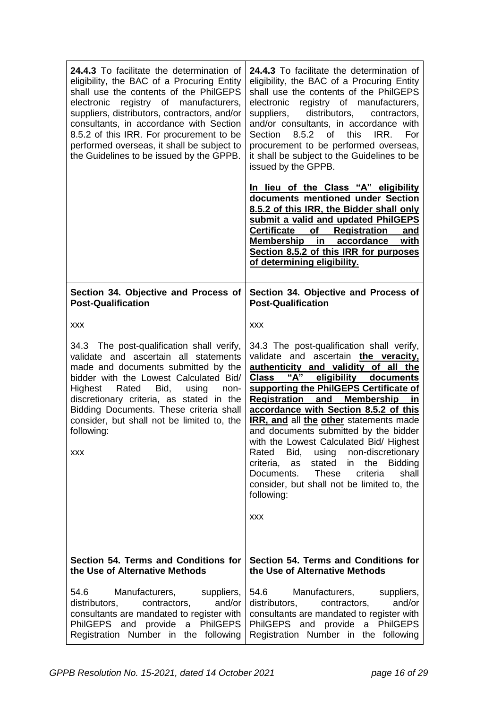| 24.4.3 To facilitate the determination of<br>eligibility, the BAC of a Procuring Entity<br>shall use the contents of the PhilGEPS<br>registry of manufacturers,<br>electronic<br>suppliers, distributors, contractors, and/or<br>consultants, in accordance with Section<br>8.5.2 of this IRR. For procurement to be<br>performed overseas, it shall be subject to<br>the Guidelines to be issued by the GPPB. | 24.4.3 To facilitate the determination of<br>eligibility, the BAC of a Procuring Entity<br>shall use the contents of the PhilGEPS<br>registry of manufacturers,<br>electronic<br>distributors,<br>suppliers,<br>contractors,<br>and/or consultants, in accordance with<br>8.5.2 of<br>this<br>IRR.<br>For<br>Section<br>procurement to be performed overseas,<br>it shall be subject to the Guidelines to be<br>issued by the GPPB.<br><u>In lieu of the Class "A" eligibility</u><br>documents mentioned under Section<br>8.5.2 of this IRR, the Bidder shall only<br>submit a valid and updated PhilGEPS<br><b>Certificate</b><br>of Registration<br>and<br>Membership in<br>accordance<br><u>with</u><br>Section 8.5.2 of this IRR for purposes |  |  |  |  |
|----------------------------------------------------------------------------------------------------------------------------------------------------------------------------------------------------------------------------------------------------------------------------------------------------------------------------------------------------------------------------------------------------------------|----------------------------------------------------------------------------------------------------------------------------------------------------------------------------------------------------------------------------------------------------------------------------------------------------------------------------------------------------------------------------------------------------------------------------------------------------------------------------------------------------------------------------------------------------------------------------------------------------------------------------------------------------------------------------------------------------------------------------------------------------|--|--|--|--|
|                                                                                                                                                                                                                                                                                                                                                                                                                | of determining eligibility.                                                                                                                                                                                                                                                                                                                                                                                                                                                                                                                                                                                                                                                                                                                        |  |  |  |  |
| Section 34. Objective and Process of<br><b>Post-Qualification</b>                                                                                                                                                                                                                                                                                                                                              | Section 34. Objective and Process of<br><b>Post-Qualification</b>                                                                                                                                                                                                                                                                                                                                                                                                                                                                                                                                                                                                                                                                                  |  |  |  |  |
| <b>XXX</b>                                                                                                                                                                                                                                                                                                                                                                                                     | <b>XXX</b>                                                                                                                                                                                                                                                                                                                                                                                                                                                                                                                                                                                                                                                                                                                                         |  |  |  |  |
| 34.3 The post-qualification shall verify,<br>validate and ascertain all statements<br>made and documents submitted by the<br>bidder with the Lowest Calculated Bid/<br>Highest Rated Bid,<br>using<br>non-<br>discretionary criteria, as stated in the<br>Bidding Documents. These criteria shall<br>consider, but shall not be limited to, the<br>following:<br>XXX                                           | 34.3 The post-qualification shall verify,<br>validate and<br>ascertain the veracity,<br>authenticity and validity of all the<br>"A"<br>eligibility documents<br><b>Class</b><br>supporting the PhilGEPS Certificate of<br><b>Registration and Membership</b><br>in<br>accordance with Section 8.5.2 of this<br>IRR, and all the other statements made<br>and documents submitted by the bidder<br>with the Lowest Calculated Bid/ Highest<br>non-discretionary<br>Rated<br>Bid,<br>using<br>criteria,<br>stated<br>the<br><b>Bidding</b><br>as<br>in<br>Documents.<br><b>These</b><br>criteria<br>shall<br>consider, but shall not be limited to, the<br>following:<br>XXX                                                                         |  |  |  |  |
| Section 54. Terms and Conditions for<br>the Use of Alternative Methods                                                                                                                                                                                                                                                                                                                                         | Section 54. Terms and Conditions for<br>the Use of Alternative Methods                                                                                                                                                                                                                                                                                                                                                                                                                                                                                                                                                                                                                                                                             |  |  |  |  |
| Manufacturers,<br>54.6<br>suppliers,<br>contractors,<br>and/or<br>distributors,<br>consultants are mandated to register with<br>PhilGEPS and provide a PhilGEPS<br>Registration Number in the following                                                                                                                                                                                                        | Manufacturers,<br>54.6<br>suppliers,<br>contractors,<br>and/or<br>distributors,<br>consultants are mandated to register with<br>PhilGEPS and provide a PhilGEPS<br>Registration Number in the following                                                                                                                                                                                                                                                                                                                                                                                                                                                                                                                                            |  |  |  |  |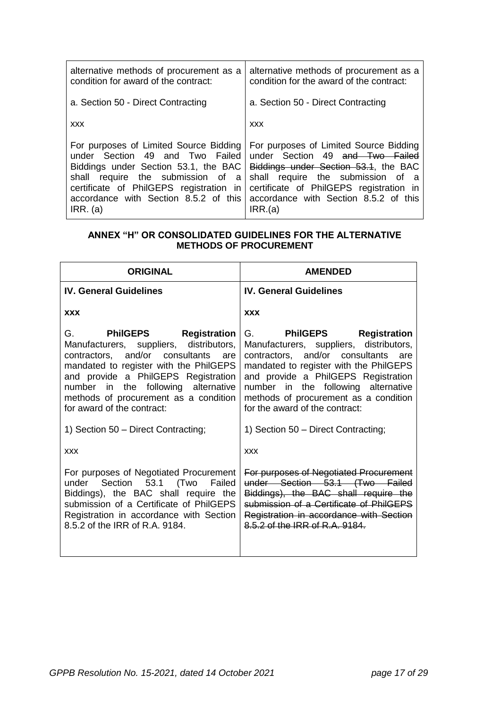| alternative methods of procurement as a | alternative methods of procurement as a  |  |  |  |  |
|-----------------------------------------|------------------------------------------|--|--|--|--|
| condition for award of the contract:    | condition for the award of the contract: |  |  |  |  |
| a. Section 50 - Direct Contracting      | a. Section 50 - Direct Contracting       |  |  |  |  |
| <b>XXX</b>                              | <b>XXX</b>                               |  |  |  |  |
| For purposes of Limited Source Bidding  | For purposes of Limited Source Bidding   |  |  |  |  |
| under Section 49 and Two Failed         | under Section 49 and Two Failed          |  |  |  |  |
| Biddings under Section 53.1, the BAC    | Biddings under Section 53.1, the BAC     |  |  |  |  |
| shall require the submission of a       | shall require the submission of a        |  |  |  |  |
| certificate of PhilGEPS registration in | certificate of PhilGEPS registration in  |  |  |  |  |
| accordance with Section 8.5.2 of this   | accordance with Section 8.5.2 of this    |  |  |  |  |
| IRR. (a)                                | IRR.(a)                                  |  |  |  |  |

## **ANNEX "H" OR CONSOLIDATED GUIDELINES FOR THE ALTERNATIVE METHODS OF PROCUREMENT**

| <b>ORIGINAL</b>                                                                                                                                                                                                                                                                                                       | <b>AMENDED</b>                                                                                                                                                                                                                                                                                                          |  |  |  |  |
|-----------------------------------------------------------------------------------------------------------------------------------------------------------------------------------------------------------------------------------------------------------------------------------------------------------------------|-------------------------------------------------------------------------------------------------------------------------------------------------------------------------------------------------------------------------------------------------------------------------------------------------------------------------|--|--|--|--|
| <b>IV. General Guidelines</b>                                                                                                                                                                                                                                                                                         | <b>IV. General Guidelines</b>                                                                                                                                                                                                                                                                                           |  |  |  |  |
| <b>XXX</b>                                                                                                                                                                                                                                                                                                            | <b>XXX</b>                                                                                                                                                                                                                                                                                                              |  |  |  |  |
| G. G<br><b>PhilGEPS</b> Registration<br>Manufacturers, suppliers, distributors,<br>contractors, and/or consultants are<br>mandated to register with the PhilGEPS<br>and provide a PhilGEPS Registration<br>number in the following alternative<br>methods of procurement as a condition<br>for award of the contract: | G.<br><b>PhilGEPS</b> Registration<br>Manufacturers, suppliers, distributors,<br>contractors, and/or consultants are<br>mandated to register with the PhilGEPS<br>and provide a PhilGEPS Registration<br>number in the following alternative<br>methods of procurement as a condition<br>for the award of the contract: |  |  |  |  |
| 1) Section 50 - Direct Contracting;                                                                                                                                                                                                                                                                                   | 1) Section 50 - Direct Contracting;                                                                                                                                                                                                                                                                                     |  |  |  |  |
| <b>XXX</b>                                                                                                                                                                                                                                                                                                            | <b>XXX</b>                                                                                                                                                                                                                                                                                                              |  |  |  |  |
| For purposes of Negotiated Procurement<br>under Section 53.1 (Two Failed<br>Biddings), the BAC shall require the<br>submission of a Certificate of PhilGEPS<br>Registration in accordance with Section<br>8.5.2 of the IRR of R.A. 9184.                                                                              | For purposes of Negotiated Procurement<br>under Section 53.1 (Two Failed<br>Biddings), the BAC shall require the<br>submission of a Certificate of PhilGEPS<br>Registration in accordance with Section<br>8.5.2 of the IRR of R.A. 9184.                                                                                |  |  |  |  |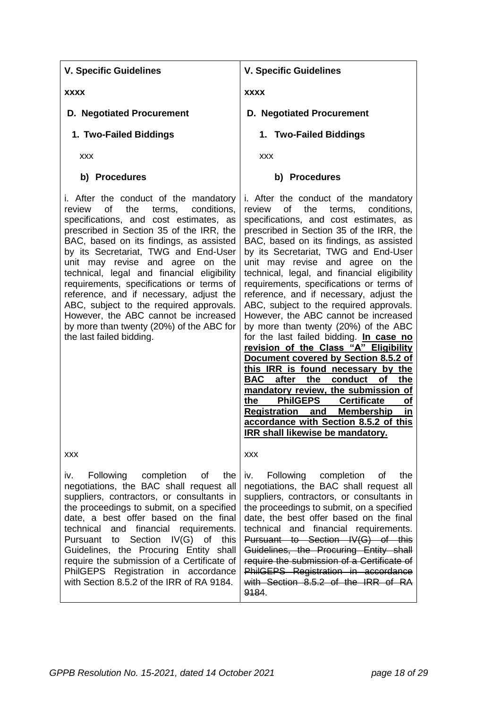**xxxx D. Negotiated Procurement 1. Two-Failed Biddings** xxx **b) Procedures** i. After the conduct of the mandatory review of the terms, conditions, specifications, and cost estimates, as prescribed in Section 35 of the IRR, the BAC, based on its findings, as assisted by its Secretariat, TWG and End-User unit may revise and agree on the technical, legal and financial eligibility requirements, specifications or terms of reference, and if necessary, adjust the ABC, subject to the required approvals. However, the ABC cannot be increased by more than twenty (20%) of the ABC for the last failed bidding. xxx iv. Following completion of the negotiations, the BAC shall request all suppliers, contractors, or consultants in the proceedings to submit, on a specified date, a best offer based on the final technical and financial requirements. Pursuant to Section IV(G) of this Guidelines, the Procuring Entity shall require the submission of a Certificate of PhilGEPS Registration in accordance **xxxx D. Negotiated Procurement 1. Two-Failed Biddings** xxx **b) Procedures** i. After the conduct of the mandatory review of the terms, conditions, specifications, and cost estimates, as prescribed in Section 35 of the IRR, the BAC, based on its findings, as assisted by its Secretariat, TWG and End-User unit may revise and agree on the technical, legal, and financial eligibility requirements, specifications or terms of reference, and if necessary, adjust the ABC, subject to the required approvals. However, the ABC cannot be increased by more than twenty (20%) of the ABC for the last failed bidding. **In case no revision of the Class "A" Eligibility Document covered by Section 8.5.2 of this IRR is found necessary by the BAC after the conduct of the mandatory review, the submission of the PhilGEPS Certificate of Registration and Membership in accordance with Section 8.5.2 of this IRR shall likewise be mandatory.** xxx iv. Following completion of the negotiations, the BAC shall request all suppliers, contractors, or consultants in the proceedings to submit, on a specified date, the best offer based on the final technical and financial requirements. Pursuant to Section IV(G) of this Guidelines, the Procuring Entity shall require the submission of a Certificate of PhilGEPS Registration in accordance

**V. Specific Guidelines**

**V. Specific Guidelines**

with Section 8.5.2 of the IRR of RA 9184.

with Section 8.5.2 of the IRR of RA

9184.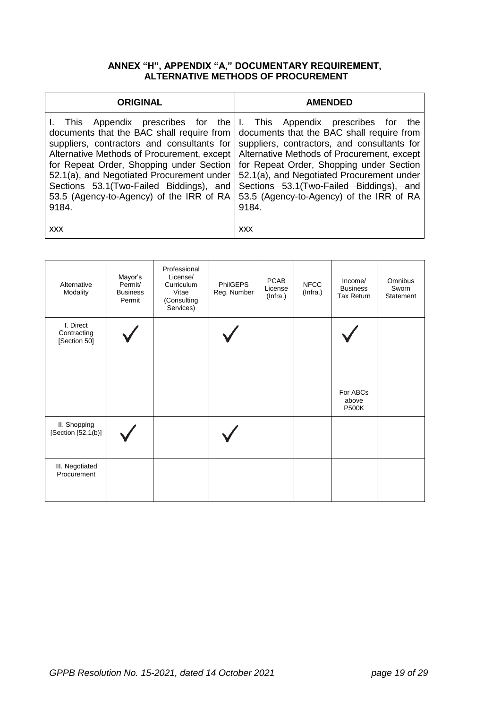## **ANNEX "H", APPENDIX "A," DOCUMENTARY REQUIREMENT, ALTERNATIVE METHODS OF PROCUREMENT**

| <b>ORIGINAL</b>                                                                                                                                                                                                                                                                                                                           | <b>AMENDED</b>                                                                                                                                                                                                                                                                                                                                                                                        |  |  |  |
|-------------------------------------------------------------------------------------------------------------------------------------------------------------------------------------------------------------------------------------------------------------------------------------------------------------------------------------------|-------------------------------------------------------------------------------------------------------------------------------------------------------------------------------------------------------------------------------------------------------------------------------------------------------------------------------------------------------------------------------------------------------|--|--|--|
| I. This<br>documents that the BAC shall require from<br>suppliers, contractors and consultants for<br>Alternative Methods of Procurement, except<br>for Repeat Order, Shopping under Section<br>52.1(a), and Negotiated Procurement under<br>Sections 53.1(Two-Failed Biddings), and<br>53.5 (Agency-to-Agency) of the IRR of RA<br>9184. | Appendix prescribes for the I. This Appendix prescribes for<br>the<br>documents that the BAC shall require from<br>suppliers, contractors, and consultants for<br>Alternative Methods of Procurement, except<br>for Repeat Order, Shopping under Section<br>52.1(a), and Negotiated Procurement under<br>Sections 53.1(Two-Failed Biddings), and<br>53.5 (Agency-to-Agency) of the IRR of RA<br>9184. |  |  |  |
| <b>XXX</b>                                                                                                                                                                                                                                                                                                                                | <b>XXX</b>                                                                                                                                                                                                                                                                                                                                                                                            |  |  |  |

| Alternative<br>Modality                  | Mayor's<br>Permit/<br><b>Business</b><br>Permit | Professional<br>License/<br>Curriculum<br>Vitae<br>(Consulting<br>Services) | <b>PhilGEPS</b><br>Reg. Number | <b>PCAB</b><br>License<br>(Infra.) | <b>NFCC</b><br>(Infra.) | Income/<br><b>Business</b><br><b>Tax Return</b> | Omnibus<br>Sworn<br>Statement |
|------------------------------------------|-------------------------------------------------|-----------------------------------------------------------------------------|--------------------------------|------------------------------------|-------------------------|-------------------------------------------------|-------------------------------|
| I. Direct<br>Contracting<br>[Section 50] |                                                 |                                                                             |                                |                                    |                         |                                                 |                               |
|                                          |                                                 |                                                                             |                                |                                    |                         | For ABCs<br>above<br><b>P500K</b>               |                               |
| II. Shopping<br>[Section [52.1(b)]       |                                                 |                                                                             |                                |                                    |                         |                                                 |                               |
| III. Negotiated<br>Procurement           |                                                 |                                                                             |                                |                                    |                         |                                                 |                               |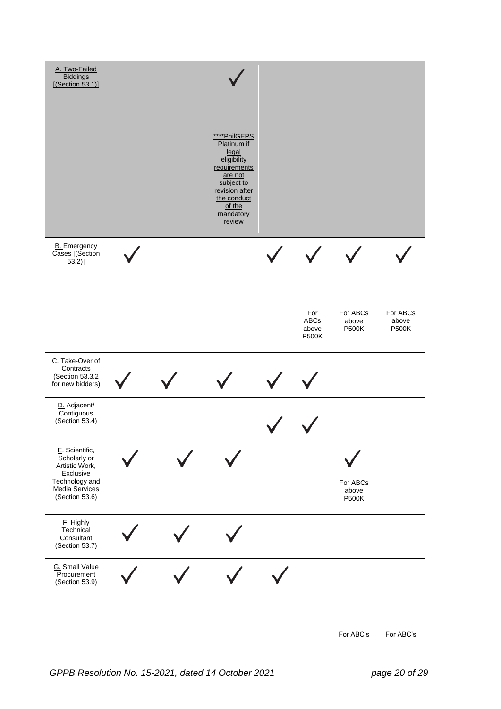| A. Two-Failed<br><b>Biddings</b><br>[(Section 53.1)]                                                                |  | ****PhilGEPS<br>Platinum if<br>legal<br>eligibility<br>requirements<br>are not<br>subject to<br>revision after<br>the conduct<br>of the<br>mandatory<br>review |                               |                                   |                       |
|---------------------------------------------------------------------------------------------------------------------|--|----------------------------------------------------------------------------------------------------------------------------------------------------------------|-------------------------------|-----------------------------------|-----------------------|
| <b>B.</b> Emergency<br>Cases [(Section<br>$53.2$ ]                                                                  |  |                                                                                                                                                                | For                           | For ABCs                          | For ABCs              |
| C. Take-Over of                                                                                                     |  |                                                                                                                                                                | ABCs<br>above<br><b>P500K</b> | above<br><b>P500K</b>             | above<br><b>P500K</b> |
| Contracts<br>(Section 53.3.2<br>for new bidders)                                                                    |  |                                                                                                                                                                |                               |                                   |                       |
| D. Adjacent/<br>Contiguous<br>(Section 53.4)                                                                        |  |                                                                                                                                                                |                               |                                   |                       |
| E. Scientific,<br>Scholarly or<br>Artistic Work,<br>Exclusive<br>Technology and<br>Media Services<br>(Section 53.6) |  |                                                                                                                                                                |                               | For ABCs<br>above<br><b>P500K</b> |                       |
| E. Highly<br>Technical<br>Consultant<br>(Section 53.7)                                                              |  |                                                                                                                                                                |                               |                                   |                       |
| G. Small Value<br>Procurement<br>(Section 53.9)                                                                     |  |                                                                                                                                                                |                               | For ABC's                         | For ABC's             |
|                                                                                                                     |  |                                                                                                                                                                |                               |                                   |                       |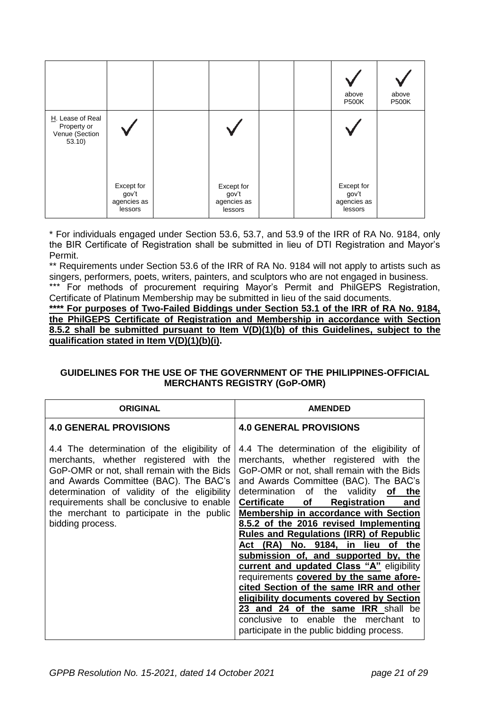|                                                             |                                               |                                               |  | above<br><b>P500K</b>                         | above<br><b>P500K</b> |
|-------------------------------------------------------------|-----------------------------------------------|-----------------------------------------------|--|-----------------------------------------------|-----------------------|
| H. Lease of Real<br>Property or<br>Venue (Section<br>53.10) |                                               |                                               |  |                                               |                       |
|                                                             | Except for<br>gov't<br>agencies as<br>lessors | Except for<br>gov't<br>agencies as<br>lessors |  | Except for<br>gov't<br>agencies as<br>lessors |                       |

\* For individuals engaged under Section 53.6, 53.7, and 53.9 of the IRR of RA No. 9184, only the BIR Certificate of Registration shall be submitted in lieu of DTI Registration and Mayor's Permit.

\*\* Requirements under Section 53.6 of the IRR of RA No. 9184 will not apply to artists such as singers, performers, poets, writers, painters, and sculptors who are not engaged in business.

\*\*\* For methods of procurement requiring Mayor's Permit and PhilGEPS Registration, Certificate of Platinum Membership may be submitted in lieu of the said documents.

**\*\*\*\* For purposes of Two-Failed Biddings under Section 53.1 of the IRR of RA No. 9184, the PhilGEPS Certificate of Registration and Membership in accordance with Section 8.5.2 shall be submitted pursuant to Item V(D)(1)(b) of this Guidelines, subject to the qualification stated in Item V(D)(1)(b)(i).** 

## **GUIDELINES FOR THE USE OF THE GOVERNMENT OF THE PHILIPPINES-OFFICIAL MERCHANTS REGISTRY (GoP-OMR)**

| <b>ORIGINAL</b>                                                                                                                                                                                                                                                                                                                             | <b>AMENDED</b>                                                                                                                                                                                                                                                                                                                                                                                                                                                                                                                                                                                                                                                                                                                                                                                                           |
|---------------------------------------------------------------------------------------------------------------------------------------------------------------------------------------------------------------------------------------------------------------------------------------------------------------------------------------------|--------------------------------------------------------------------------------------------------------------------------------------------------------------------------------------------------------------------------------------------------------------------------------------------------------------------------------------------------------------------------------------------------------------------------------------------------------------------------------------------------------------------------------------------------------------------------------------------------------------------------------------------------------------------------------------------------------------------------------------------------------------------------------------------------------------------------|
| <b>4.0 GENERAL PROVISIONS</b>                                                                                                                                                                                                                                                                                                               | <b>4.0 GENERAL PROVISIONS</b>                                                                                                                                                                                                                                                                                                                                                                                                                                                                                                                                                                                                                                                                                                                                                                                            |
| 4.4 The determination of the eligibility of<br>merchants, whether registered with the<br>GoP-OMR or not, shall remain with the Bids<br>and Awards Committee (BAC). The BAC's<br>determination of validity of the eligibility<br>requirements shall be conclusive to enable<br>the merchant to participate in the public<br>bidding process. | 4.4 The determination of the eligibility of<br>merchants, whether registered with the<br>GoP-OMR or not, shall remain with the Bids<br>and Awards Committee (BAC). The BAC's<br>determination of the validity of the<br><b>Certificate</b><br><b>Registration</b><br>of<br>and<br>Membership in accordance with Section<br>8.5.2 of the 2016 revised Implementing<br><b>Rules and Regulations (IRR) of Republic</b><br>Act (RA) No. 9184, in lieu<br>of the<br>submission of, and supported by, the<br><b>current and updated Class "A"</b> eligibility<br>requirements covered by the same afore-<br>cited Section of the same IRR and other<br>eligibility documents covered by Section<br>23 and 24 of the same IRR shall be<br>conclusive to enable the merchant<br>to<br>participate in the public bidding process. |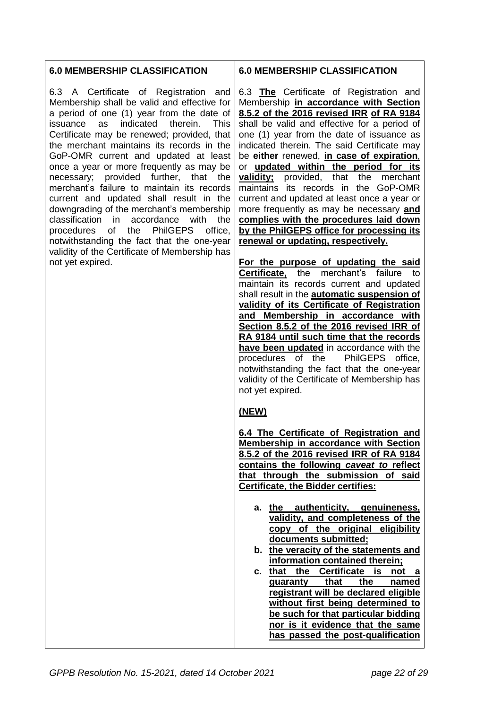## **6.0 MEMBERSHIP CLASSIFICATION**

6.3 A Certificate of Registration and Membership shall be valid and effective for a period of one (1) year from the date of issuance as indicated therein. This Certificate may be renewed; provided, that the merchant maintains its records in the GoP-OMR current and updated at least once a year or more frequently as may be necessary; provided further, that the merchant's failure to maintain its records current and updated shall result in the downgrading of the merchant's membership classification in accordance with the procedures of the PhilGEPS office, notwithstanding the fact that the one-year validity of the Certificate of Membership has not yet expired.

## **6.0 MEMBERSHIP CLASSIFICATION**

6.3 **The** Certificate of Registration and Membership **in accordance with Section 8.5.2 of the 2016 revised IRR of RA 9184** shall be valid and effective for a period of one (1) year from the date of issuance as indicated therein. The said Certificate may be **either** renewed, **in case of expiration**, or **updated within the period for its validity;** provided, that the merchant maintains its records in the GoP-OMR current and updated at least once a year or more frequently as may be necessary **and complies with the procedures laid down by the PhilGEPS office for processing its renewal or updating, respectively.**

**For the purpose of updating the said Certificate,** the merchant's failure to maintain its records current and updated shall result in the **automatic suspension of validity of its Certificate of Registration and Membership in accordance with Section 8.5.2 of the 2016 revised IRR of RA 9184 until such time that the records have been updated** in accordance with the procedures of the PhilGEPS office, notwithstanding the fact that the one-year validity of the Certificate of Membership has not yet expired.

# **(NEW)**

**6.4 The Certificate of Registration and Membership in accordance with Section 8.5.2 of the 2016 revised IRR of RA 9184 contains the following** *caveat to* **reflect that through the submission of said Certificate, the Bidder certifies:**

- **a. the authenticity, genuineness, validity, and completeness of the copy of the original eligibility documents submitted;**
- **b. the veracity of the statements and information contained therein;**
- **c. that the Certificate is not guaranty that the named registrant will be declared eligible without first being determined to be such for that particular bidding nor is it evidence that the same has passed the post-qualification**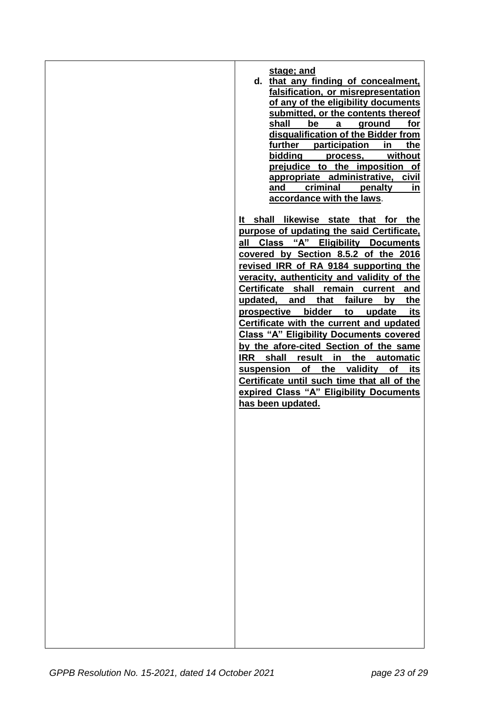| stage; and                                     |
|------------------------------------------------|
| d. that any finding of concealment,            |
| falsification, or misrepresentation            |
| of any of the eligibility documents            |
| submitted, or the contents thereof             |
| shall<br>be<br>ground<br>for<br>$\mathbf{a}$   |
| disqualification of the Bidder from            |
| further participation<br>in<br>the             |
| bidding<br>without<br>process,                 |
| prejudice to the imposition of                 |
| appropriate administrative, civil              |
| criminal penalty<br>and<br>in                  |
| accordance with the laws.                      |
|                                                |
| It shall likewise state that for the           |
| purpose of updating the said Certificate,      |
| all Class "A" Eligibility Documents            |
| covered by Section 8.5.2 of the 2016           |
| revised IRR of RA 9184 supporting the          |
| veracity, authenticity and validity of the     |
| Certificate shall remain current and           |
| that<br>failure<br>updated, and<br>the<br>by   |
| bidder<br>prospective<br>to<br>update<br>its   |
| Certificate with the current and updated       |
| <b>Class "A" Eligibility Documents covered</b> |
| by the afore-cited Section of the same         |
| IRR shall result<br>in<br>the<br>automatic     |
| suspension of the validity of its              |
| Certificate until such time that all of the    |
| expired Class "A" Eligibility Documents        |
| has been updated.                              |
|                                                |
|                                                |
|                                                |
|                                                |
|                                                |
|                                                |
|                                                |
|                                                |
|                                                |
|                                                |
|                                                |
|                                                |
|                                                |
|                                                |
|                                                |
|                                                |
|                                                |
|                                                |
|                                                |
|                                                |
|                                                |
|                                                |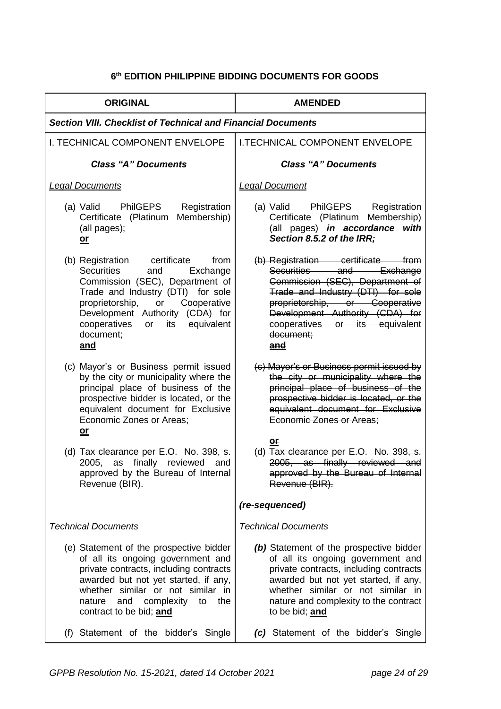## **6 th EDITION PHILIPPINE BIDDING DOCUMENTS FOR GOODS**

| <b>ORIGINAL</b>                                                                                                                                                                                                                                                                       | <b>AMENDED</b>                                                                                                                                                                                                                                                  |  |
|---------------------------------------------------------------------------------------------------------------------------------------------------------------------------------------------------------------------------------------------------------------------------------------|-----------------------------------------------------------------------------------------------------------------------------------------------------------------------------------------------------------------------------------------------------------------|--|
| <b>Section VIII. Checklist of Technical and Financial Documents</b>                                                                                                                                                                                                                   |                                                                                                                                                                                                                                                                 |  |
| <b>I. TECHNICAL COMPONENT ENVELOPE</b>                                                                                                                                                                                                                                                | <b>I.TECHNICAL COMPONENT ENVELOPE</b>                                                                                                                                                                                                                           |  |
| <b>Class "A" Documents</b>                                                                                                                                                                                                                                                            | <b>Class "A" Documents</b>                                                                                                                                                                                                                                      |  |
| <b>Legal Documents</b>                                                                                                                                                                                                                                                                | <b>Legal Document</b>                                                                                                                                                                                                                                           |  |
| (a) Valid PhilGEPS<br>Registration<br>Membership)<br>Certificate (Platinum<br>(all pages);<br><u>or</u>                                                                                                                                                                               | (a) Valid PhilGEPS<br>Registration<br>Certificate (Platinum Membership)<br>(all pages) in accordance with<br>Section 8.5.2 of the IRR;                                                                                                                          |  |
| (b) Registration certificate<br>from<br><b>Securities</b><br>Exchange<br>and<br>Commission (SEC), Department of<br>Trade and Industry (DTI) for sole<br>proprietorship, or Cooperative<br>Development Authority (CDA) for<br>cooperatives<br>its equivalent<br>or<br>document;<br>and | (b) Registration certificate from<br>Securities and Exchange<br>Commission (SEC), Department of<br>Trade and Industry (DTI) for sole<br>proprietorship, or Cooperative<br>Development Authority (CDA) for<br>cooperatives or its equivalent<br>document;<br>and |  |
| (c) Mayor's or Business permit issued<br>by the city or municipality where the<br>principal place of business of the<br>prospective bidder is located, or the<br>equivalent document for Exclusive<br>Economic Zones or Areas;<br><u>or</u>                                           | (c) Mayor's or Business permit issued by<br>the city or municipality where the<br>principal place of business of the<br>prospective bidder is located, or the<br>equivalent document for Exclusive<br>Economic Zones or Areas;                                  |  |
| (d) Tax clearance per E.O. No. 398, s.<br>as finally reviewed and<br>2005,<br>approved by the Bureau of Internal<br>Revenue (BIR).                                                                                                                                                    | or<br>(d) Tax clearance per E.O. No. 398, s.<br>2005, as finally reviewed and<br>approved by the Bureau of Internal<br>Revenue (BIR).                                                                                                                           |  |
|                                                                                                                                                                                                                                                                                       | (re-sequenced)                                                                                                                                                                                                                                                  |  |
| <b>Technical Documents</b>                                                                                                                                                                                                                                                            | <b>Technical Documents</b>                                                                                                                                                                                                                                      |  |
| (e) Statement of the prospective bidder<br>of all its ongoing government and<br>private contracts, including contracts<br>awarded but not yet started, if any,<br>whether similar or not similar in<br>and complexity<br>the<br>nature<br>to<br>contract to be bid; and               | (b) Statement of the prospective bidder<br>of all its ongoing government and<br>private contracts, including contracts<br>awarded but not yet started, if any,<br>whether similar or not similar in<br>nature and complexity to the contract<br>to be bid; and  |  |
| (f) Statement of the bidder's Single                                                                                                                                                                                                                                                  | (c) Statement of the bidder's Single                                                                                                                                                                                                                            |  |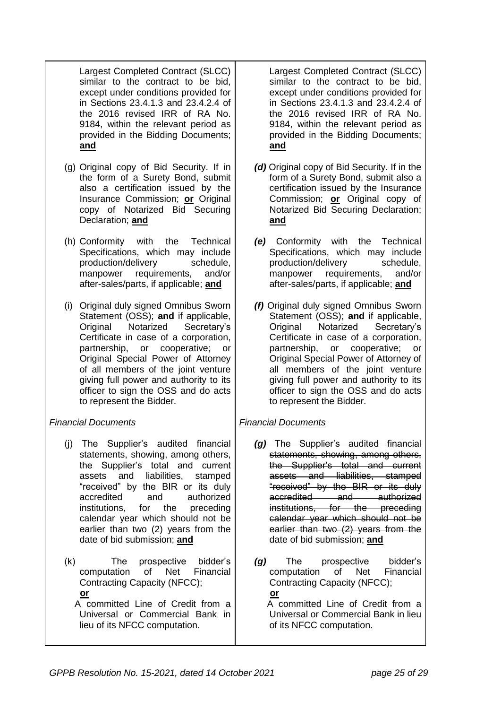Largest Completed Contract (SLCC) similar to the contract to be bid, except under conditions provided for in Sections 23.4.1.3 and 23.4.2.4 of the 2016 revised IRR of RA No. 9184, within the relevant period as provided in the Bidding Documents; **and**

- (g) Original copy of Bid Security. If in the form of a Surety Bond, submit also a certification issued by the Insurance Commission; **or** Original copy of Notarized Bid Securing Declaration; **and**
- (h) Conformity with the Technical Specifications, which may include production/delivery schedule, manpower requirements, and/or after-sales/parts, if applicable; **and**
- (i) Original duly signed Omnibus Sworn Statement (OSS); **and** if applicable, Original Notarized Secretary's Certificate in case of a corporation, partnership, or cooperative; or Original Special Power of Attorney of all members of the joint venture giving full power and authority to its officer to sign the OSS and do acts to represent the Bidder.

# *Financial Documents*

- (j) The Supplier's audited financial statements, showing, among others, the Supplier's total and current assets and liabilities, stamped "received" by the BIR or its duly accredited and authorized institutions, for the preceding calendar year which should not be earlier than two (2) years from the date of bid submission; **and**
- (k) The prospective bidder's computation of Net Financial Contracting Capacity (NFCC);  **or** A committed Line of Credit from a
	- Universal or Commercial Bank in lieu of its NFCC computation.

Largest Completed Contract (SLCC) similar to the contract to be bid, except under conditions provided for in Sections 23.4.1.3 and 23.4.2.4 of the 2016 revised IRR of RA No. 9184, within the relevant period as provided in the Bidding Documents; **and**

- *(d)* Original copy of Bid Security. If in the form of a Surety Bond, submit also a certification issued by the Insurance Commission; **or** Original copy of Notarized Bid Securing Declaration; **and**
- *(e)* Conformity with the Technical Specifications, which may include production/delivery schedule, manpower requirements, and/or after-sales/parts, if applicable; **and**
- *(f)* Original duly signed Omnibus Sworn Statement (OSS); **and** if applicable, Original Notarized Secretary's Certificate in case of a corporation, partnership, or cooperative; or Original Special Power of Attorney of all members of the joint venture giving full power and authority to its officer to sign the OSS and do acts to represent the Bidder.

# *Financial Documents*

- *(g)* The Supplier's audited financial statements, showing, among others, the Supplier's total and current assets and liabilities, stamped "received" by the BIR or its duly accredited and authorized institutions, for the preceding calendar year which should not be earlier than two (2) years from the date of bid submission; **and**
- *(g)* The prospective bidder's computation of Net Financial Contracting Capacity (NFCC);  **or**

 A committed Line of Credit from a Universal or Commercial Bank in lieu of its NFCC computation.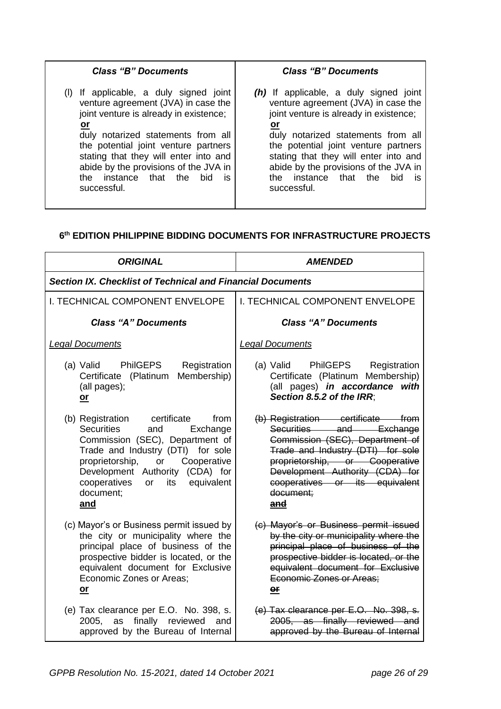| <b>Class "B" Documents</b>             | <b>Class "B" Documents</b>             |
|----------------------------------------|----------------------------------------|
| If applicable, a duly signed joint     | (h) If applicable, a duly signed joint |
| venture agreement (JVA) in case the    | venture agreement (JVA) in case the    |
| joint venture is already in existence; | joint venture is already in existence; |
| <u>or</u>                              | <u>or</u>                              |
| duly notarized statements from all     | duly notarized statements from all     |
| the potential joint venture partners   | the potential joint venture partners   |
| stating that they will enter into and  | stating that they will enter into and  |
| abide by the provisions of the JVA in  | abide by the provisions of the JVA in  |
| instance that the                      | instance that the                      |
| <b>bid</b>                             | bid.                                   |
| the t                                  | the                                    |
| is.                                    | is                                     |
| successful.                            | successful.                            |

## **6 th EDITION PHILIPPINE BIDDING DOCUMENTS FOR INFRASTRUCTURE PROJECTS**

| <b>ORIGINAL</b>                                                                                                                                                                                                                                                                | <b>AMENDED</b>                                                                                                                                                                                                                                                  |  |
|--------------------------------------------------------------------------------------------------------------------------------------------------------------------------------------------------------------------------------------------------------------------------------|-----------------------------------------------------------------------------------------------------------------------------------------------------------------------------------------------------------------------------------------------------------------|--|
| <b>Section IX. Checklist of Technical and Financial Documents</b>                                                                                                                                                                                                              |                                                                                                                                                                                                                                                                 |  |
| <b>I. TECHNICAL COMPONENT ENVELOPE</b>                                                                                                                                                                                                                                         | <b>I. TECHNICAL COMPONENT ENVELOPE</b>                                                                                                                                                                                                                          |  |
| <b>Class "A" Documents</b>                                                                                                                                                                                                                                                     | <b>Class "A" Documents</b>                                                                                                                                                                                                                                      |  |
| <b>Legal Documents</b>                                                                                                                                                                                                                                                         | <b>Legal Documents</b>                                                                                                                                                                                                                                          |  |
| (a) Valid<br><b>PhilGEPS</b><br>Registration<br>Membership)<br>Certificate (Platinum<br>(all pages);<br>$or$                                                                                                                                                                   | PhilGEPS Registration<br>(a) Valid<br>Certificate (Platinum Membership)<br>(all pages) in accordance with<br>Section 8.5.2 of the IRR;                                                                                                                          |  |
| (b) Registration certificate<br>from<br>Securities<br>and<br>Exchange<br>Commission (SEC), Department of<br>Trade and Industry (DTI) for sole<br>proprietorship, or Cooperative<br>Development Authority (CDA) for<br>cooperatives<br>its equivalent<br>or<br>document;<br>and | (b) Registration certificate from<br>Securities and Exchange<br>Commission (SEC), Department of<br>Trade and Industry (DTI) for sole<br>proprietorship, or Cooperative<br>Development Authority (CDA) for<br>cooperatives or its equivalent<br>document:<br>and |  |
| (c) Mayor's or Business permit issued by<br>the city or municipality where the<br>principal place of business of the<br>prospective bidder is located, or the<br>equivalent document for Exclusive<br>Economic Zones or Areas;<br>$or$                                         | (c) Mayor's or Business permit issued<br>by the city or municipality where the<br>principal place of business of the<br>prospective bidder is located, or the<br>equivalent document for Exclusive<br>Economic Zones or Areas;<br>$or$                          |  |
| (e) Tax clearance per E.O. No. 398, s.<br>2005, as finally reviewed<br>and<br>approved by the Bureau of Internal                                                                                                                                                               | (e) Tax clearance per E.O. No. 398, s.<br>2005, as finally reviewed and<br>approved by the Bureau of Internal                                                                                                                                                   |  |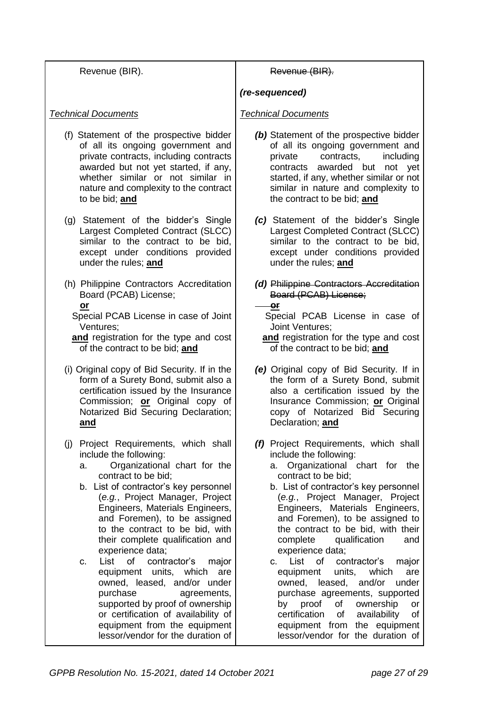| Revenue (BIR).                                                                                                                                                                                                                                                                                                                                                                                                                                                                                                                                                                                                                                                   | Revenue (BIR).                                                                                                                                                                                                                                                                                                                                                                                                                                                                                                                                                                                                                                                                                           |
|------------------------------------------------------------------------------------------------------------------------------------------------------------------------------------------------------------------------------------------------------------------------------------------------------------------------------------------------------------------------------------------------------------------------------------------------------------------------------------------------------------------------------------------------------------------------------------------------------------------------------------------------------------------|----------------------------------------------------------------------------------------------------------------------------------------------------------------------------------------------------------------------------------------------------------------------------------------------------------------------------------------------------------------------------------------------------------------------------------------------------------------------------------------------------------------------------------------------------------------------------------------------------------------------------------------------------------------------------------------------------------|
|                                                                                                                                                                                                                                                                                                                                                                                                                                                                                                                                                                                                                                                                  | (re-sequenced)                                                                                                                                                                                                                                                                                                                                                                                                                                                                                                                                                                                                                                                                                           |
| <b>Technical Documents</b>                                                                                                                                                                                                                                                                                                                                                                                                                                                                                                                                                                                                                                       | <b>Technical Documents</b>                                                                                                                                                                                                                                                                                                                                                                                                                                                                                                                                                                                                                                                                               |
| (f) Statement of the prospective bidder<br>of all its ongoing government and<br>private contracts, including contracts<br>awarded but not yet started, if any,<br>whether similar or not similar in<br>nature and complexity to the contract<br>to be bid; and                                                                                                                                                                                                                                                                                                                                                                                                   | (b) Statement of the prospective bidder<br>of all its ongoing government and<br>contracts,<br>including<br>private<br>contracts<br>awarded but not yet<br>started, if any, whether similar or not<br>similar in nature and complexity to<br>the contract to be bid; and                                                                                                                                                                                                                                                                                                                                                                                                                                  |
| (g) Statement of the bidder's Single<br>Largest Completed Contract (SLCC)<br>similar to the contract to be bid,<br>except under conditions provided<br>under the rules; and                                                                                                                                                                                                                                                                                                                                                                                                                                                                                      | (c) Statement of the bidder's Single<br>Largest Completed Contract (SLCC)<br>similar to the contract to be bid,<br>except under conditions provided<br>under the rules; and                                                                                                                                                                                                                                                                                                                                                                                                                                                                                                                              |
| (h) Philippine Contractors Accreditation<br>Board (PCAB) License;<br>or<br>Special PCAB License in case of Joint<br>Ventures;<br>and registration for the type and cost<br>of the contract to be bid; and                                                                                                                                                                                                                                                                                                                                                                                                                                                        | (d) Philippine Contractors Accreditation<br>Board (PCAB) License;<br>or<br>Special PCAB License in case of<br>Joint Ventures;<br>and registration for the type and cost<br>of the contract to be bid; and                                                                                                                                                                                                                                                                                                                                                                                                                                                                                                |
| (i) Original copy of Bid Security. If in the<br>form of a Surety Bond, submit also a<br>certification issued by the Insurance<br>Commission; or Original copy of<br>Notarized Bid Securing Declaration;<br><u>and</u>                                                                                                                                                                                                                                                                                                                                                                                                                                            | (e) Original copy of Bid Security. If in<br>the form of a Surety Bond, submit<br>also a certification issued by the<br>Insurance Commission; or Original<br>copy of Notarized Bid Securing<br>Declaration; and                                                                                                                                                                                                                                                                                                                                                                                                                                                                                           |
| Project Requirements, which shall<br>(j)<br>include the following:<br>Organizational chart for the<br>a.<br>contract to be bid;<br>b. List of contractor's key personnel<br>(e.g., Project Manager, Project<br>Engineers, Materials Engineers,<br>and Foremen), to be assigned<br>to the contract to be bid, with<br>their complete qualification and<br>experience data;<br>List<br>contractor's<br>of<br>major<br>c.<br>equipment units, which<br>are<br>owned, leased, and/or under<br>purchase<br>agreements,<br>supported by proof of ownership<br>or certification of availability of<br>equipment from the equipment<br>lessor/vendor for the duration of | (f) Project Requirements, which shall<br>include the following:<br>Organizational chart for the<br>а.<br>contract to be bid;<br>b. List of contractor's key personnel<br>(e.g., Project Manager, Project<br>Engineers, Materials Engineers,<br>and Foremen), to be assigned to<br>the contract to be bid, with their<br>complete<br>qualification<br>and<br>experience data;<br>List<br>of<br>contractor's<br>major<br>C.<br>equipment<br>units,<br>which<br>are<br>owned,<br>leased,<br>and/or<br>under<br>purchase agreements, supported<br>of<br>by proof<br>ownership<br><b>or</b><br>certification<br>of<br>availability<br>of<br>equipment from the equipment<br>lessor/vendor for the duration of |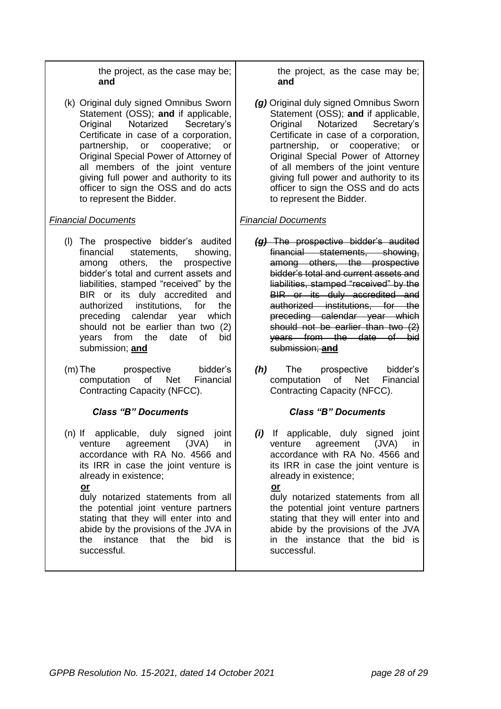the project, as the case may be; **and**

(k) Original duly signed Omnibus Sworn Statement (OSS); **and** if applicable, Original Notarized Secretary's Certificate in case of a corporation, partnership, or cooperative; or Original Special Power of Attorney of all members of the joint venture giving full power and authority to its officer to sign the OSS and do acts to represent the Bidder.

## *Financial Documents*

- (l) The prospective bidder's audited financial statements, showing, among others, the prospective bidder's total and current assets and liabilities, stamped "received" by the BIR or its duly accredited and authorized institutions, for the preceding calendar year which should not be earlier than two (2) years from the date of bid submission; **and**
- (m)The prospective bidder's computation of Net Financial Contracting Capacity (NFCC).

## *Class "B" Documents*

(n) If applicable, duly signed joint venture agreement (JVA) in accordance with RA No. 4566 and its IRR in case the joint venture is already in existence;

#### **or**

duly notarized statements from all the potential joint venture partners stating that they will enter into and abide by the provisions of the JVA in the instance that the bid is successful.

the project, as the case may be; **and**

*(g)* Original duly signed Omnibus Sworn Statement (OSS); **and** if applicable, Original Notarized Secretary's Certificate in case of a corporation, partnership, or cooperative; or Original Special Power of Attorney of all members of the joint venture giving full power and authority to its officer to sign the OSS and do acts to represent the Bidder.

## *Financial Documents*

- *(g)* The prospective bidder's audited financial statements, showing, among others, the prospective bidder's total and current assets and liabilities, stamped "received" by the BIR or its duly accredited and authorized institutions, for the preceding calendar year which should not be earlier than two (2) years from the date of bid submission; **and**
- *(h)* The prospective bidder's computation of Net Financial Contracting Capacity (NFCC).

# *Class "B" Documents*

*(i)* If applicable, duly signed joint venture agreement (JVA) in accordance with RA No. 4566 and its IRR in case the joint venture is already in existence;

#### **or**

duly notarized statements from all the potential joint venture partners stating that they will enter into and abide by the provisions of the JVA in the instance that the bid is successful.